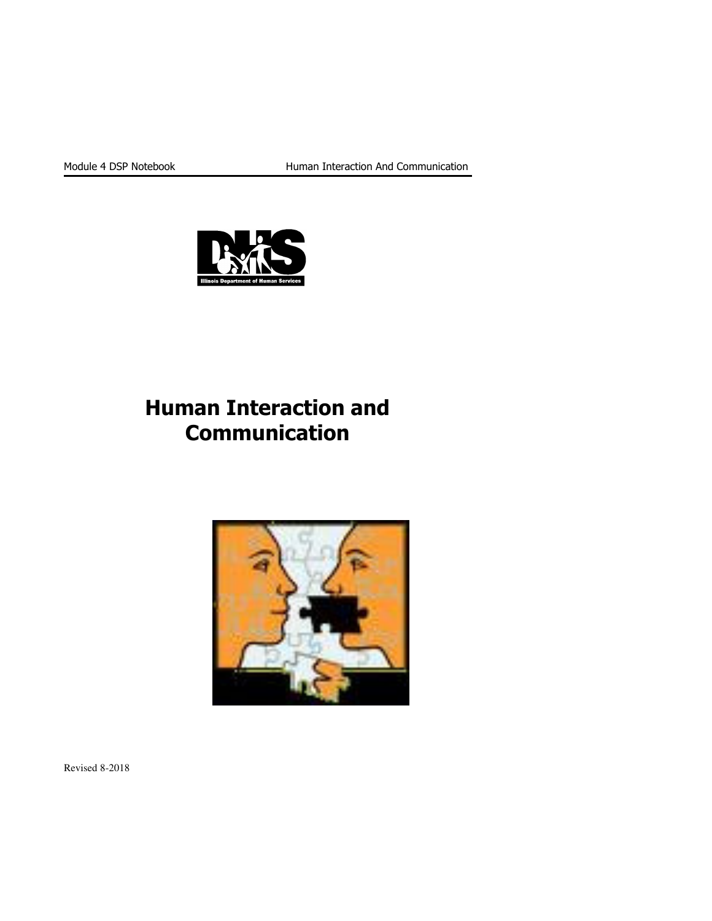

# Human Interaction and Communication



Revised 8-2018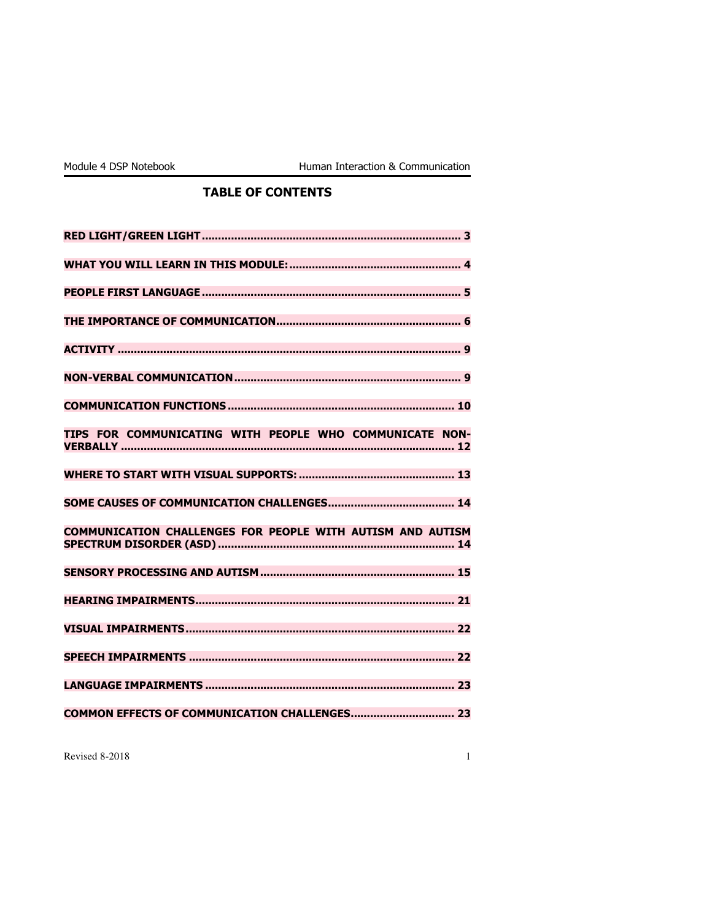### TABLE OF CONTENTS

| TIPS FOR COMMUNICATING WITH PEOPLE WHO COMMUNICATE NON-    |
|------------------------------------------------------------|
|                                                            |
|                                                            |
| COMMUNICATION CHALLENGES FOR PEOPLE WITH AUTISM AND AUTISM |
|                                                            |
|                                                            |
|                                                            |
|                                                            |
|                                                            |
|                                                            |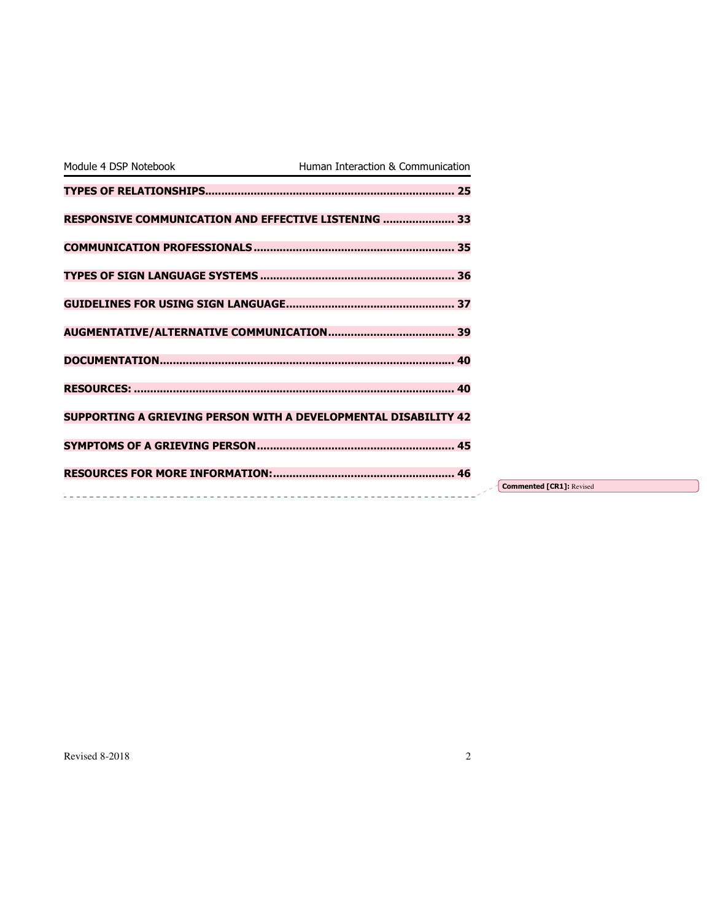| Module 4 DSP Notebook | Human Interaction & Communication                                      |                                 |
|-----------------------|------------------------------------------------------------------------|---------------------------------|
|                       |                                                                        |                                 |
|                       | RESPONSIVE COMMUNICATION AND EFFECTIVE LISTENING  33                   |                                 |
|                       |                                                                        |                                 |
|                       |                                                                        |                                 |
|                       |                                                                        |                                 |
|                       |                                                                        |                                 |
|                       |                                                                        |                                 |
|                       |                                                                        |                                 |
|                       | <b>SUPPORTING A GRIEVING PERSON WITH A DEVELOPMENTAL DISABILITY 42</b> |                                 |
|                       |                                                                        |                                 |
|                       |                                                                        | <b>Commented [CR1]: Revised</b> |
|                       |                                                                        |                                 |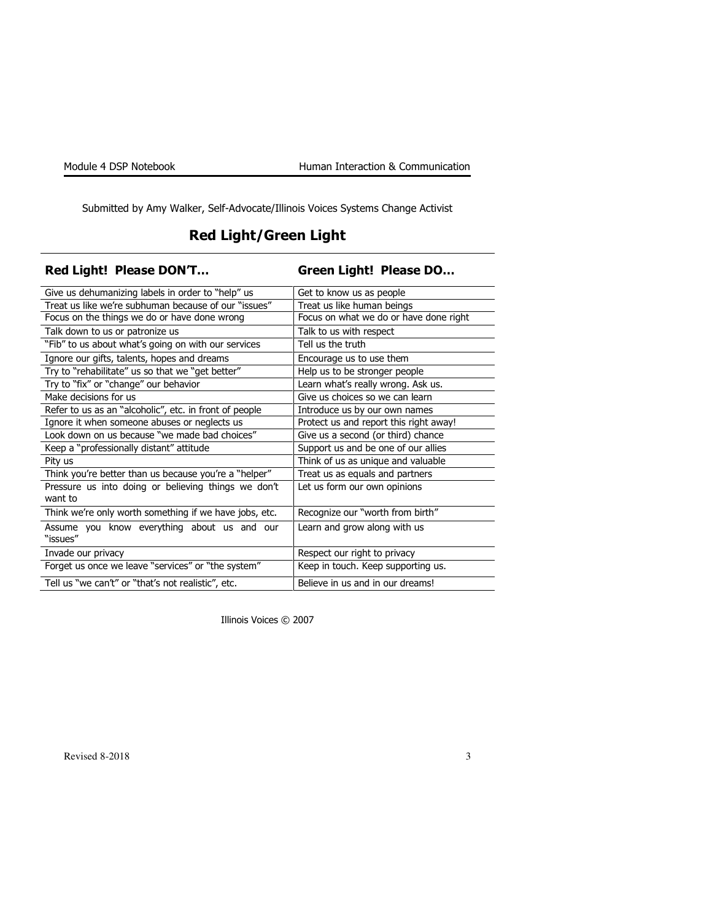Submitted by Amy Walker, Self-Advocate/Illinois Voices Systems Change Activist

## Red Light/Green Light

| <b>Red Light! Please DON'T</b>                                 | Green Light! Please DO                 |
|----------------------------------------------------------------|----------------------------------------|
| Give us dehumanizing labels in order to "help" us              | Get to know us as people               |
| Treat us like we're subhuman because of our "issues"           | Treat us like human beings             |
| Focus on the things we do or have done wrong                   | Focus on what we do or have done right |
| Talk down to us or patronize us                                | Talk to us with respect                |
| "Fib" to us about what's going on with our services            | Tell us the truth                      |
| Ignore our gifts, talents, hopes and dreams                    | Encourage us to use them               |
| Try to "rehabilitate" us so that we "get better"               | Help us to be stronger people          |
| Try to "fix" or "change" our behavior                          | Learn what's really wrong. Ask us.     |
| Make decisions for us                                          | Give us choices so we can learn        |
| Refer to us as an "alcoholic", etc. in front of people         | Introduce us by our own names          |
| Ignore it when someone abuses or neglects us                   | Protect us and report this right away! |
| Look down on us because "we made bad choices"                  | Give us a second (or third) chance     |
| Keep a "professionally distant" attitude                       | Support us and be one of our allies    |
| Pity us                                                        | Think of us as unique and valuable     |
| Think you're better than us because you're a "helper"          | Treat us as equals and partners        |
| Pressure us into doing or believing things we don't<br>want to | Let us form our own opinions           |
| Think we're only worth something if we have jobs, etc.         | Recognize our "worth from birth"       |
| Assume you know everything about us and our<br>"issues"        | Learn and grow along with us           |
| Invade our privacy                                             | Respect our right to privacy           |
| Forget us once we leave "services" or "the system"             | Keep in touch. Keep supporting us.     |
| Tell us "we can't" or "that's not realistic", etc.             | Believe in us and in our dreams!       |

Illinois Voices © 2007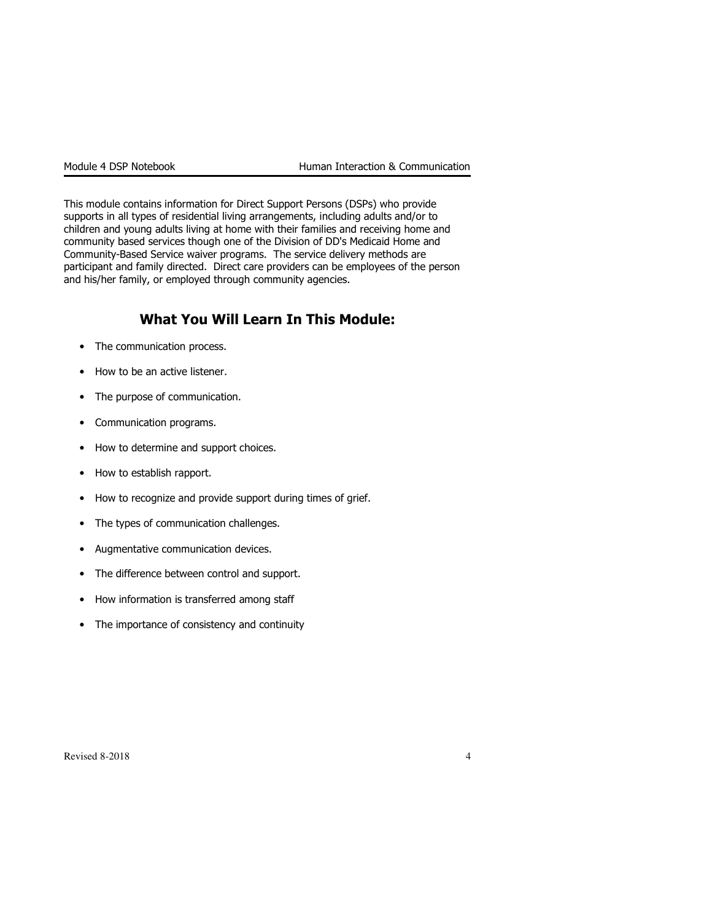This module contains information for Direct Support Persons (DSPs) who provide supports in all types of residential living arrangements, including adults and/or to children and young adults living at home with their families and receiving home and community based services though one of the Division of DD's Medicaid Home and Community-Based Service waiver programs. The service delivery methods are participant and family directed. Direct care providers can be employees of the person and his/her family, or employed through community agencies.

### What You Will Learn In This Module:

- The communication process.
- How to be an active listener.
- The purpose of communication.
- Communication programs.
- How to determine and support choices.
- How to establish rapport.
- How to recognize and provide support during times of grief.
- The types of communication challenges.
- Augmentative communication devices.
- The difference between control and support.
- How information is transferred among staff
- The importance of consistency and continuity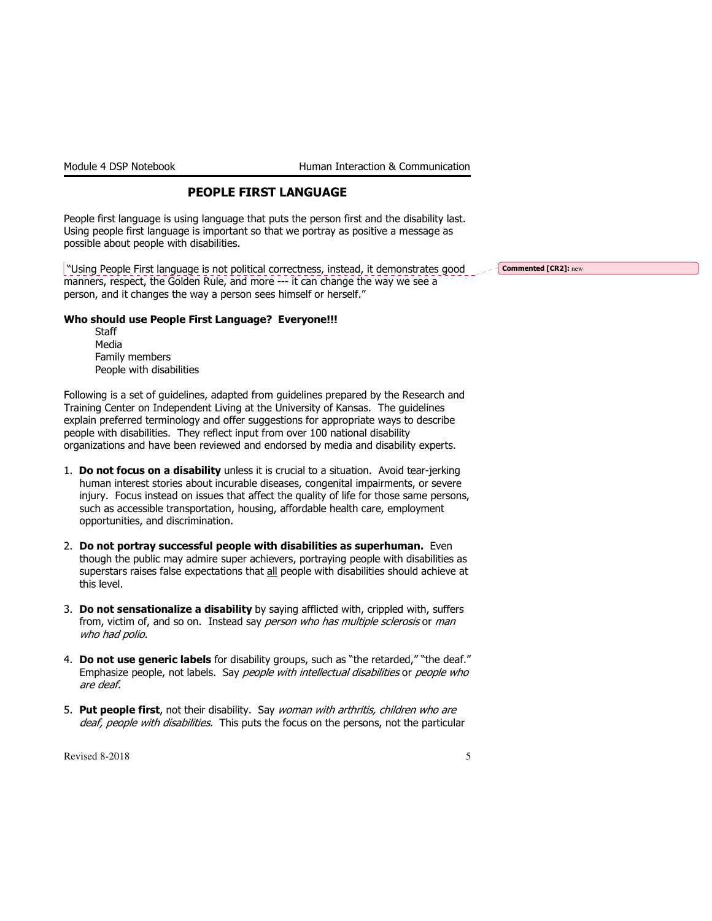### PEOPLE FIRST LANGUAGE

People first language is using language that puts the person first and the disability last. Using people first language is important so that we portray as positive a message as possible about people with disabilities.

 "Using People First language is not political correctness, instead, it demonstrates good manners, respect, the Golden Rule, and more --- it can change the way we see a person, and it changes the way a person sees himself or herself."  $\sim$   $\sim$  Commented [CR2]: new

#### Who should use People First Language? Everyone!!!

| Staff                    |
|--------------------------|
| Media                    |
| Family members           |
| People with disabilities |

Following is a set of guidelines, adapted from guidelines prepared by the Research and Training Center on Independent Living at the University of Kansas. The guidelines explain preferred terminology and offer suggestions for appropriate ways to describe people with disabilities. They reflect input from over 100 national disability organizations and have been reviewed and endorsed by media and disability experts.

- 1. Do not focus on a disability unless it is crucial to a situation. Avoid tear-jerking human interest stories about incurable diseases, congenital impairments, or severe injury. Focus instead on issues that affect the quality of life for those same persons, such as accessible transportation, housing, affordable health care, employment opportunities, and discrimination.
- 2. Do not portray successful people with disabilities as superhuman. Even though the public may admire super achievers, portraying people with disabilities as superstars raises false expectations that all people with disabilities should achieve at this level.
- 3. Do not sensationalize a disability by saying afflicted with, crippled with, suffers from, victim of, and so on. Instead say person who has multiple sclerosis or man who had polio.
- 4. Do not use generic labels for disability groups, such as "the retarded," "the deaf." Emphasize people, not labels. Say people with intellectual disabilities or people who are deaf.
- 5. Put people first, not their disability. Say woman with arthritis, children who are deaf, people with disabilities. This puts the focus on the persons, not the particular

 $\text{Revised } 8\text{-}2018$  5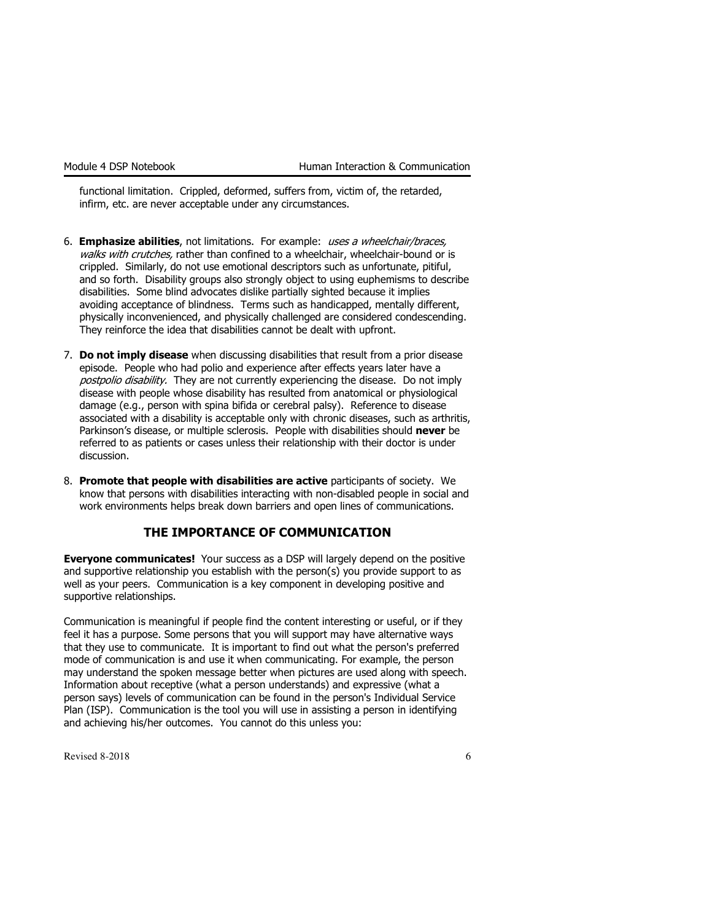functional limitation. Crippled, deformed, suffers from, victim of, the retarded, infirm, etc. are never acceptable under any circumstances.

- 6. Emphasize abilities, not limitations. For example: uses a wheelchair/braces, walks with crutches, rather than confined to a wheelchair, wheelchair-bound or is crippled. Similarly, do not use emotional descriptors such as unfortunate, pitiful, and so forth. Disability groups also strongly object to using euphemisms to describe disabilities. Some blind advocates dislike partially sighted because it implies avoiding acceptance of blindness. Terms such as handicapped, mentally different, physically inconvenienced, and physically challenged are considered condescending. They reinforce the idea that disabilities cannot be dealt with upfront.
- 7. Do not imply disease when discussing disabilities that result from a prior disease episode. People who had polio and experience after effects years later have a postpolio disability. They are not currently experiencing the disease. Do not imply disease with people whose disability has resulted from anatomical or physiological damage (e.g., person with spina bifida or cerebral palsy). Reference to disease associated with a disability is acceptable only with chronic diseases, such as arthritis, Parkinson's disease, or multiple sclerosis. People with disabilities should never be referred to as patients or cases unless their relationship with their doctor is under discussion.
- 8. Promote that people with disabilities are active participants of society. We know that persons with disabilities interacting with non-disabled people in social and work environments helps break down barriers and open lines of communications.

#### THE IMPORTANCE OF COMMUNICATION

**Everyone communicates!** Your success as a DSP will largely depend on the positive and supportive relationship you establish with the person(s) you provide support to as well as your peers. Communication is a key component in developing positive and supportive relationships.

Communication is meaningful if people find the content interesting or useful, or if they feel it has a purpose. Some persons that you will support may have alternative ways that they use to communicate. It is important to find out what the person's preferred mode of communication is and use it when communicating. For example, the person may understand the spoken message better when pictures are used along with speech. Information about receptive (what a person understands) and expressive (what a person says) levels of communication can be found in the person's Individual Service Plan (ISP). Communication is the tool you will use in assisting a person in identifying and achieving his/her outcomes. You cannot do this unless you:

Revised 8-2018  $\qquad \qquad$  6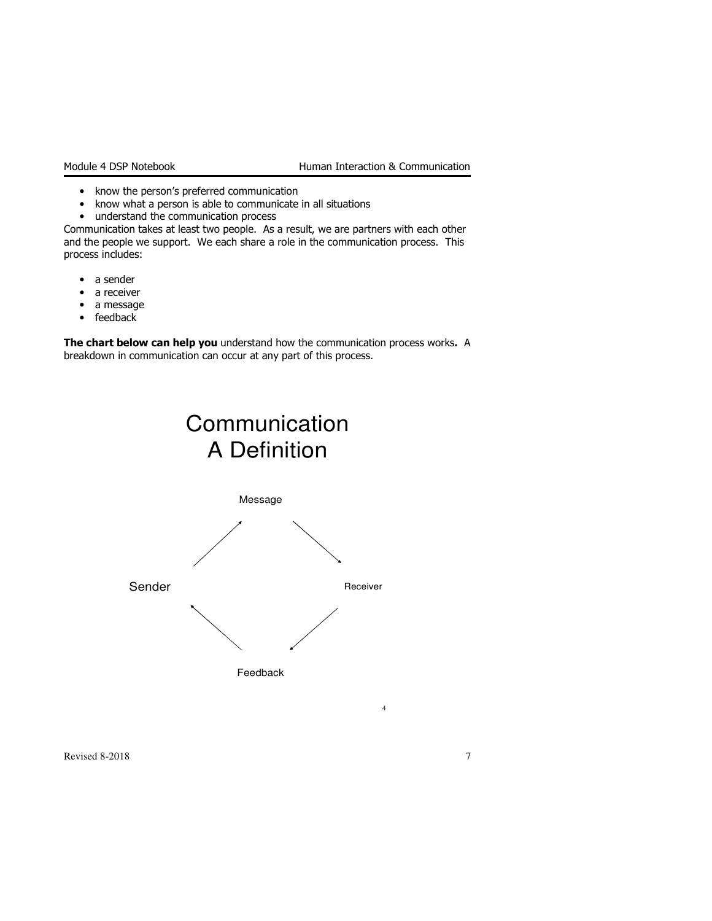- know the person's preferred communication
- know what a person is able to communicate in all situations
- understand the communication process

Communication takes at least two people. As a result, we are partners with each other and the people we support. We each share a role in the communication process. This process includes:

- a sender
- a receiver
- a message
- feedback

The chart below can help you understand how the communication process works. A breakdown in communication can occur at any part of this process.





Revised 8-2018 7

4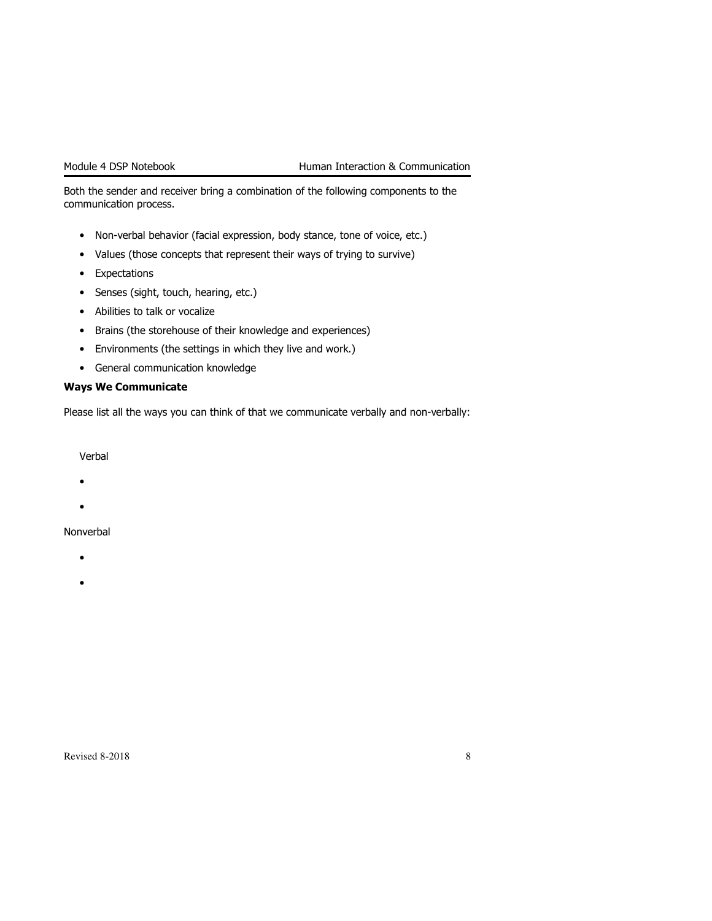Both the sender and receiver bring a combination of the following components to the communication process.

- Non-verbal behavior (facial expression, body stance, tone of voice, etc.)
- Values (those concepts that represent their ways of trying to survive)
- Expectations
- Senses (sight, touch, hearing, etc.)
- Abilities to talk or vocalize
- Brains (the storehouse of their knowledge and experiences)
- Environments (the settings in which they live and work.)
- General communication knowledge

#### Ways We Communicate

Please list all the ways you can think of that we communicate verbally and non-verbally:

Verbal

- •
- •

#### Nonverbal

- •
- •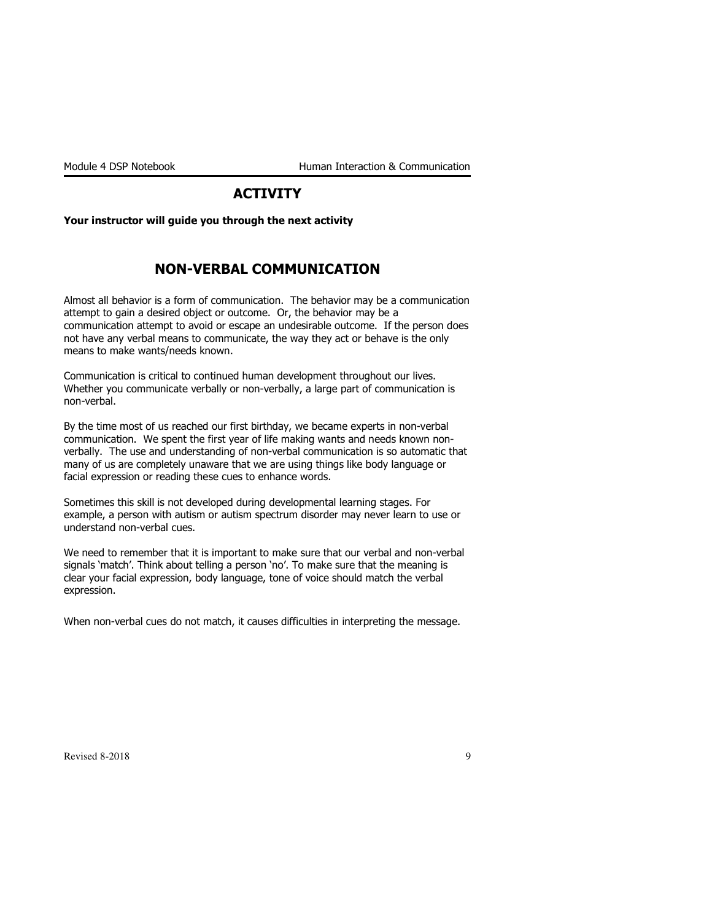### **ACTIVITY**

Your instructor will guide you through the next activity

### NON-VERBAL COMMUNICATION

Almost all behavior is a form of communication. The behavior may be a communication attempt to gain a desired object or outcome. Or, the behavior may be a communication attempt to avoid or escape an undesirable outcome. If the person does not have any verbal means to communicate, the way they act or behave is the only means to make wants/needs known.

Communication is critical to continued human development throughout our lives. Whether you communicate verbally or non-verbally, a large part of communication is non-verbal.

By the time most of us reached our first birthday, we became experts in non-verbal communication. We spent the first year of life making wants and needs known nonverbally. The use and understanding of non-verbal communication is so automatic that many of us are completely unaware that we are using things like body language or facial expression or reading these cues to enhance words.

Sometimes this skill is not developed during developmental learning stages. For example, a person with autism or autism spectrum disorder may never learn to use or understand non-verbal cues.

We need to remember that it is important to make sure that our verbal and non-verbal signals 'match'. Think about telling a person 'no'. To make sure that the meaning is clear your facial expression, body language, tone of voice should match the verbal expression.

When non-verbal cues do not match, it causes difficulties in interpreting the message.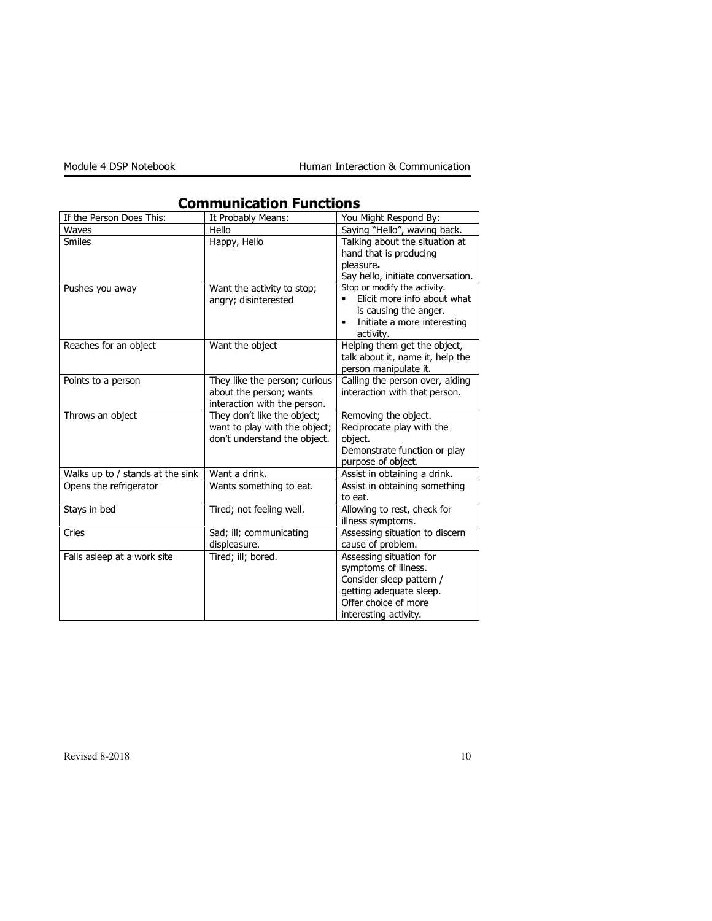| If the Person Does This:         | It Probably Means:                                                                           | You Might Respond By:                                                                                                                                   |
|----------------------------------|----------------------------------------------------------------------------------------------|---------------------------------------------------------------------------------------------------------------------------------------------------------|
| Waves                            | Hello                                                                                        | Saying "Hello", waving back.                                                                                                                            |
| <b>Smiles</b>                    | Happy, Hello                                                                                 | Talking about the situation at<br>hand that is producing<br>pleasure.<br>Say hello, initiate conversation.                                              |
| Pushes you away                  | Want the activity to stop;<br>angry; disinterested                                           | Stop or modify the activity.<br>Elicit more info about what<br>is causing the anger.<br>Initiate a more interesting<br>$\blacksquare$<br>activity.      |
| Reaches for an object            | Want the object                                                                              | Helping them get the object,<br>talk about it, name it, help the<br>person manipulate it.                                                               |
| Points to a person               | They like the person; curious<br>about the person; wants<br>interaction with the person.     | Calling the person over, aiding<br>interaction with that person.                                                                                        |
| Throws an object                 | They don't like the object;<br>want to play with the object;<br>don't understand the object. | Removing the object.<br>Reciprocate play with the<br>object.<br>Demonstrate function or play<br>purpose of object.                                      |
| Walks up to / stands at the sink | Want a drink.                                                                                | Assist in obtaining a drink.                                                                                                                            |
| Opens the refrigerator           | Wants something to eat.                                                                      | Assist in obtaining something<br>to eat.                                                                                                                |
| Stays in bed                     | Tired; not feeling well.                                                                     | Allowing to rest, check for<br>illness symptoms.                                                                                                        |
| Cries                            | Sad; ill; communicating<br>displeasure.                                                      | Assessing situation to discern<br>cause of problem.                                                                                                     |
| Falls asleep at a work site      | Tired; ill; bored.                                                                           | Assessing situation for<br>symptoms of illness.<br>Consider sleep pattern /<br>getting adequate sleep.<br>Offer choice of more<br>interesting activity. |

### Communication Functions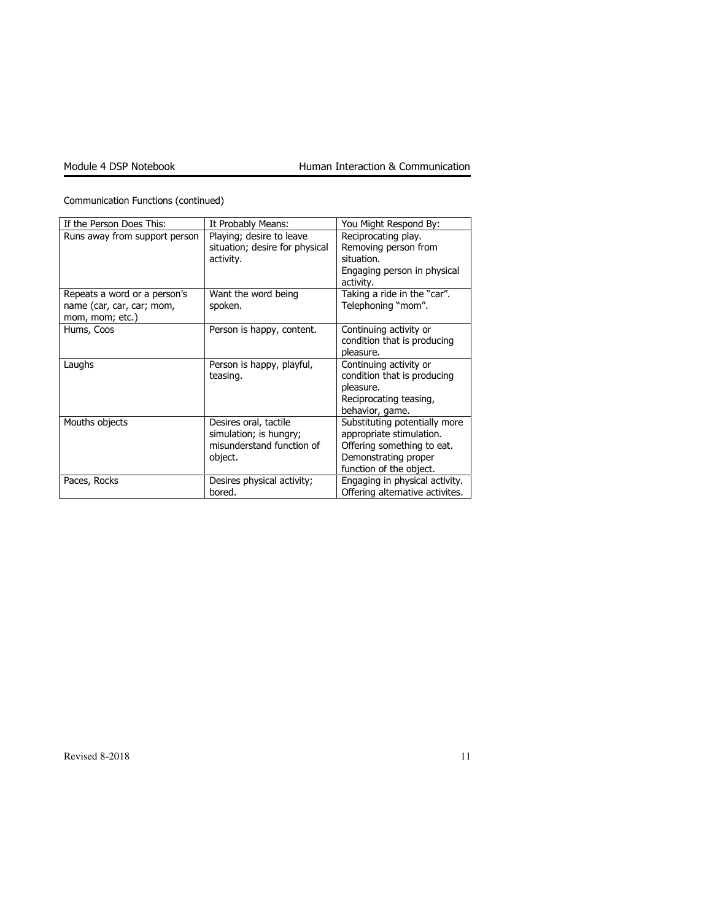| Communication Functions (continued) |  |
|-------------------------------------|--|
|-------------------------------------|--|

| If the Person Does This:                                                     | It Probably Means:                                                                      | You Might Respond By:                                                                                                                      |
|------------------------------------------------------------------------------|-----------------------------------------------------------------------------------------|--------------------------------------------------------------------------------------------------------------------------------------------|
| Runs away from support person                                                | Playing; desire to leave<br>situation; desire for physical<br>activity.                 | Reciprocating play.<br>Removing person from<br>situation.<br>Engaging person in physical<br>activity.                                      |
| Repeats a word or a person's<br>name (car, car, car; mom,<br>mom, mom; etc.) | Want the word being<br>spoken.                                                          | Taking a ride in the "car".<br>Telephoning "mom".                                                                                          |
| Hums, Coos                                                                   | Person is happy, content.                                                               | Continuing activity or<br>condition that is producing<br>pleasure.                                                                         |
| Laughs                                                                       | Person is happy, playful,<br>teasing.                                                   | Continuing activity or<br>condition that is producing<br>pleasure.<br>Reciprocating teasing,<br>behavior, game.                            |
| Mouths objects                                                               | Desires oral, tactile<br>simulation; is hungry;<br>misunderstand function of<br>object. | Substituting potentially more<br>appropriate stimulation.<br>Offering something to eat.<br>Demonstrating proper<br>function of the object. |
| Paces, Rocks                                                                 | Desires physical activity;<br>bored.                                                    | Engaging in physical activity.<br>Offering alternative activites.                                                                          |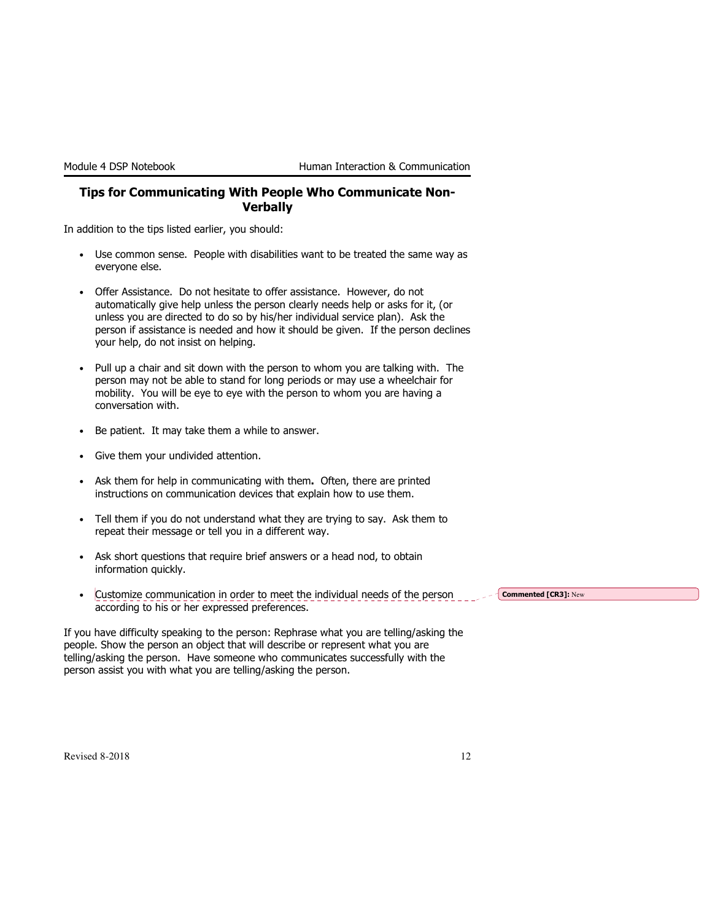#### Tips for Communicating With People Who Communicate Non-**Verbally**

In addition to the tips listed earlier, you should:

- Use common sense. People with disabilities want to be treated the same way as everyone else.
- Offer Assistance. Do not hesitate to offer assistance. However, do not automatically give help unless the person clearly needs help or asks for it, (or unless you are directed to do so by his/her individual service plan). Ask the person if assistance is needed and how it should be given. If the person declines your help, do not insist on helping.
- Pull up a chair and sit down with the person to whom you are talking with. The person may not be able to stand for long periods or may use a wheelchair for mobility. You will be eye to eye with the person to whom you are having a conversation with.
- Be patient. It may take them a while to answer.
- Give them your undivided attention.
- Ask them for help in communicating with them. Often, there are printed instructions on communication devices that explain how to use them.
- Tell them if you do not understand what they are trying to say. Ask them to repeat their message or tell you in a different way.
- Ask short questions that require brief answers or a head nod, to obtain information quickly.
- Customize communication in order to meet the individual needs of the person according to his or her expressed preferences.

Commented [CR3]: New

If you have difficulty speaking to the person: Rephrase what you are telling/asking the people. Show the person an object that will describe or represent what you are telling/asking the person. Have someone who communicates successfully with the person assist you with what you are telling/asking the person.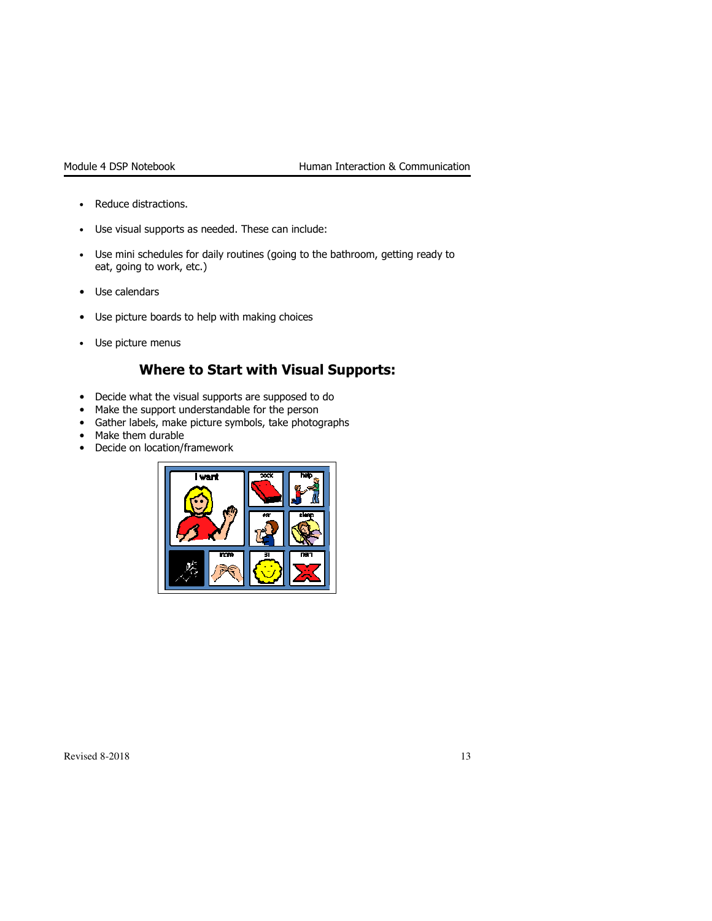- Reduce distractions.
- Use visual supports as needed. These can include:
- Use mini schedules for daily routines (going to the bathroom, getting ready to eat, going to work, etc.)
- Use calendars
- Use picture boards to help with making choices
- Use picture menus

### Where to Start with Visual Supports:

- Decide what the visual supports are supposed to do
- Make the support understandable for the person
- Gather labels, make picture symbols, take photographs
- Make them durable
- Decide on location/framework

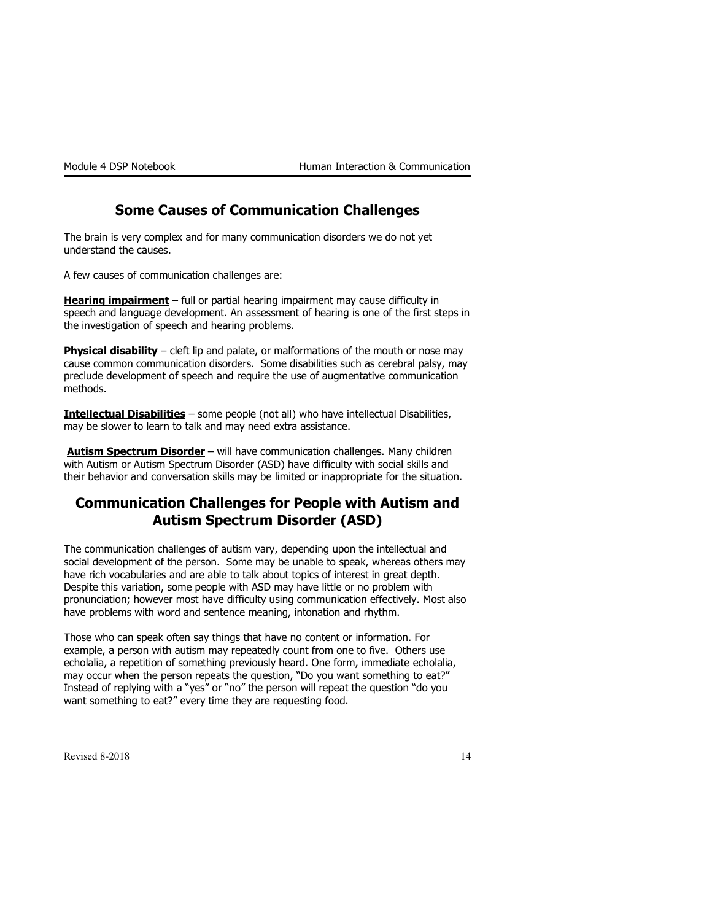### Some Causes of Communication Challenges

The brain is very complex and for many communication disorders we do not yet understand the causes.

A few causes of communication challenges are:

**Hearing impairment** – full or partial hearing impairment may cause difficulty in speech and language development. An assessment of hearing is one of the first steps in the investigation of speech and hearing problems.

Physical disability - cleft lip and palate, or malformations of the mouth or nose may cause common communication disorders. Some disabilities such as cerebral palsy, may preclude development of speech and require the use of augmentative communication methods.

Intellectual Disabilities – some people (not all) who have intellectual Disabilities, may be slower to learn to talk and may need extra assistance.

Autism Spectrum Disorder – will have communication challenges. Many children with Autism or Autism Spectrum Disorder (ASD) have difficulty with social skills and their behavior and conversation skills may be limited or inappropriate for the situation.

### Communication Challenges for People with Autism and Autism Spectrum Disorder (ASD)

The communication challenges of autism vary, depending upon the intellectual and social development of the person. Some may be unable to speak, whereas others may have rich vocabularies and are able to talk about topics of interest in great depth. Despite this variation, some people with ASD may have little or no problem with pronunciation; however most have difficulty using communication effectively. Most also have problems with word and sentence meaning, intonation and rhythm.

Those who can speak often say things that have no content or information. For example, a person with autism may repeatedly count from one to five. Others use echolalia, a repetition of something previously heard. One form, immediate echolalia, may occur when the person repeats the question, "Do you want something to eat?" Instead of replying with a "yes" or "no" the person will repeat the question "do you want something to eat?" every time they are requesting food.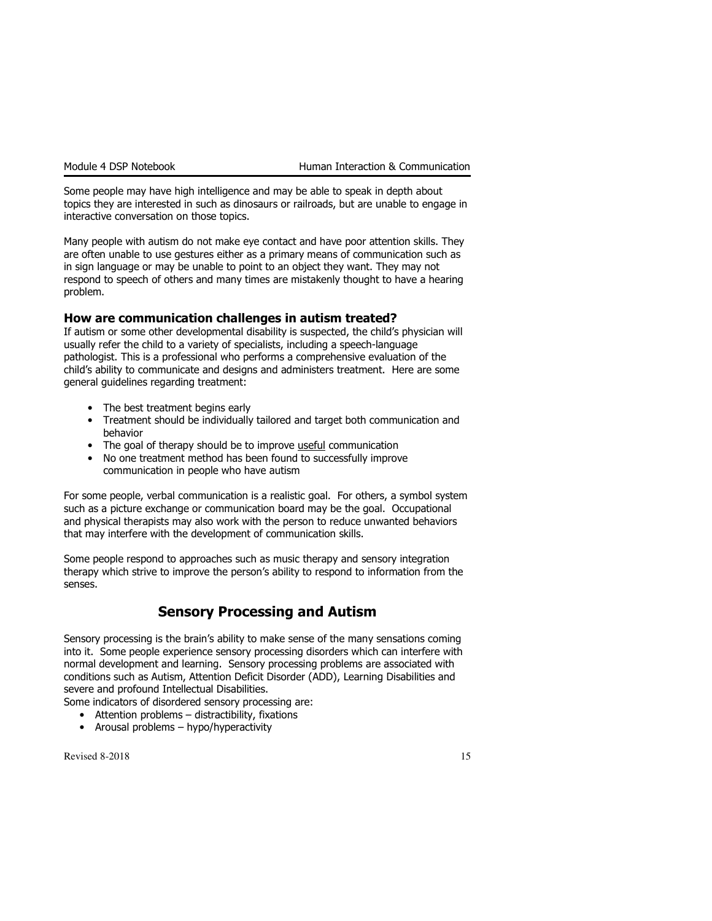Some people may have high intelligence and may be able to speak in depth about topics they are interested in such as dinosaurs or railroads, but are unable to engage in interactive conversation on those topics.

Many people with autism do not make eye contact and have poor attention skills. They are often unable to use gestures either as a primary means of communication such as in sign language or may be unable to point to an object they want. They may not respond to speech of others and many times are mistakenly thought to have a hearing problem.

#### How are communication challenges in autism treated?

If autism or some other developmental disability is suspected, the child's physician will usually refer the child to a variety of specialists, including a speech-language pathologist. This is a professional who performs a comprehensive evaluation of the child's ability to communicate and designs and administers treatment. Here are some general guidelines regarding treatment:

- The best treatment begins early
- Treatment should be individually tailored and target both communication and behavior
- The goal of therapy should be to improve useful communication
- No one treatment method has been found to successfully improve communication in people who have autism

For some people, verbal communication is a realistic goal. For others, a symbol system such as a picture exchange or communication board may be the goal. Occupational and physical therapists may also work with the person to reduce unwanted behaviors that may interfere with the development of communication skills.

Some people respond to approaches such as music therapy and sensory integration therapy which strive to improve the person's ability to respond to information from the senses.

### Sensory Processing and Autism

Sensory processing is the brain's ability to make sense of the many sensations coming into it. Some people experience sensory processing disorders which can interfere with normal development and learning. Sensory processing problems are associated with conditions such as Autism, Attention Deficit Disorder (ADD), Learning Disabilities and severe and profound Intellectual Disabilities.

Some indicators of disordered sensory processing are:

- Attention problems distractibility, fixations
- Arousal problems hypo/hyperactivity

 $\text{Revised } 8\text{-}2018$  15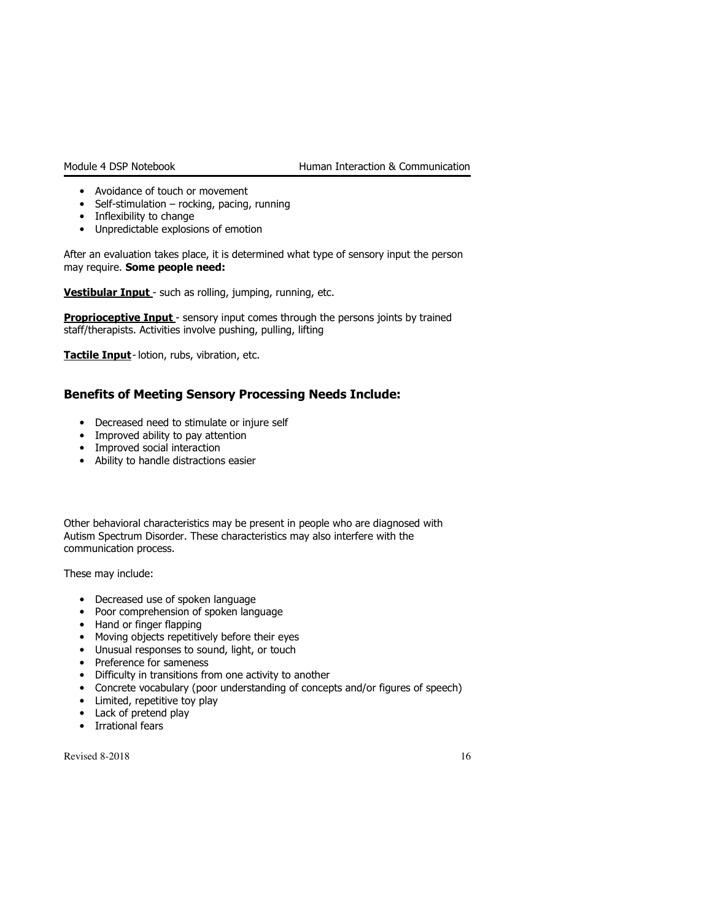- Avoidance of touch or movement
- Self-stimulation rocking, pacing, running
- Inflexibility to change
- Unpredictable explosions of emotion

After an evaluation takes place, it is determined what type of sensory input the person may require. Some people need:

Vestibular Input - such as rolling, jumping, running, etc.

Proprioceptive Input - sensory input comes through the persons joints by trained staff/therapists. Activities involve pushing, pulling, lifting

Tactile Input- lotion, rubs, vibration, etc.

### Benefits of Meeting Sensory Processing Needs Include:

- Decreased need to stimulate or injure self
- Improved ability to pay attention
- Improved social interaction
- Ability to handle distractions easier

Other behavioral characteristics may be present in people who are diagnosed with Autism Spectrum Disorder. These characteristics may also interfere with the communication process.

These may include:

- Decreased use of spoken language
- Poor comprehension of spoken language
- Hand or finger flapping
- Moving objects repetitively before their eyes
- Unusual responses to sound, light, or touch
- Preference for sameness
- Difficulty in transitions from one activity to another
- Concrete vocabulary (poor understanding of concepts and/or figures of speech)
- Limited, repetitive toy play
- Lack of pretend play
- Irrational fears

 $\text{Revised } 8-2018$  16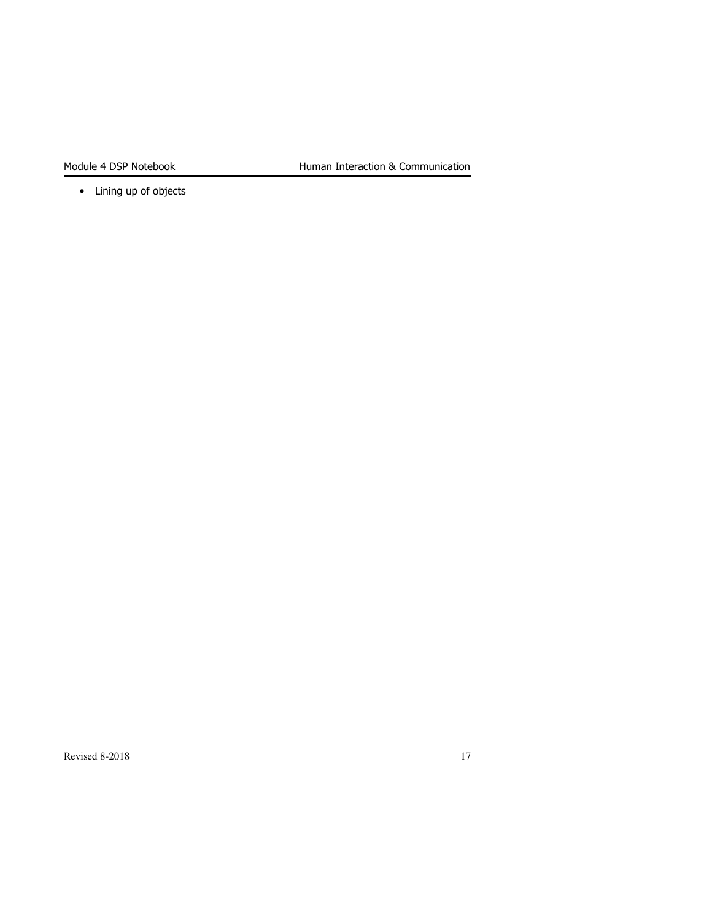• Lining up of objects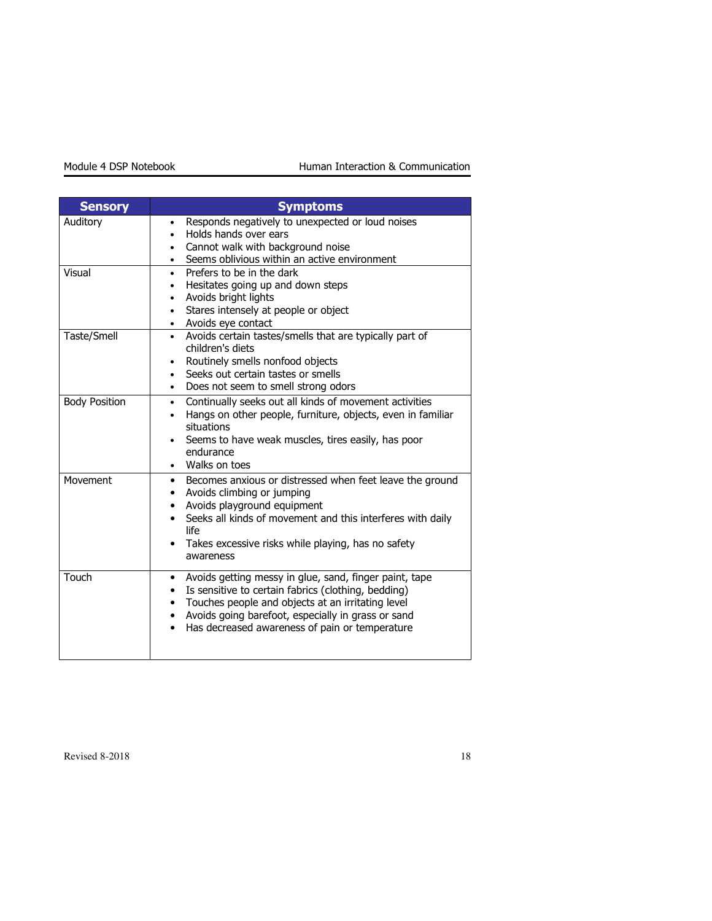| <b>Sensory</b>       | <b>Symptoms</b>                                                                                                                                                                                                                                                                                                                     |
|----------------------|-------------------------------------------------------------------------------------------------------------------------------------------------------------------------------------------------------------------------------------------------------------------------------------------------------------------------------------|
| Auditory             | Responds negatively to unexpected or loud noises<br>$\bullet$<br>Holds hands over ears<br>٠<br>Cannot walk with background noise<br>$\bullet$<br>Seems oblivious within an active environment                                                                                                                                       |
| Visual               | Prefers to be in the dark<br>$\bullet$<br>Hesitates going up and down steps<br>Avoids bright lights<br>Stares intensely at people or object<br>Avoids eye contact                                                                                                                                                                   |
| Taste/Smell          | Avoids certain tastes/smells that are typically part of<br>$\bullet$<br>children's diets<br>Routinely smells nonfood objects<br>Seeks out certain tastes or smells<br>Does not seem to smell strong odors                                                                                                                           |
| <b>Body Position</b> | Continually seeks out all kinds of movement activities<br>$\bullet$<br>Hangs on other people, furniture, objects, even in familiar<br>٠<br>situations<br>Seems to have weak muscles, tires easily, has poor<br>endurance<br>Walks on toes                                                                                           |
| Movement             | Becomes anxious or distressed when feet leave the ground<br>Avoids climbing or jumping<br>Avoids playground equipment<br>Seeks all kinds of movement and this interferes with daily<br>life<br>Takes excessive risks while playing, has no safety<br>awareness                                                                      |
| Touch                | Avoids getting messy in glue, sand, finger paint, tape<br>٠<br>Is sensitive to certain fabrics (clothing, bedding)<br>$\bullet$<br>Touches people and objects at an irritating level<br>$\bullet$<br>Avoids going barefoot, especially in grass or sand<br>$\bullet$<br>Has decreased awareness of pain or temperature<br>$\bullet$ |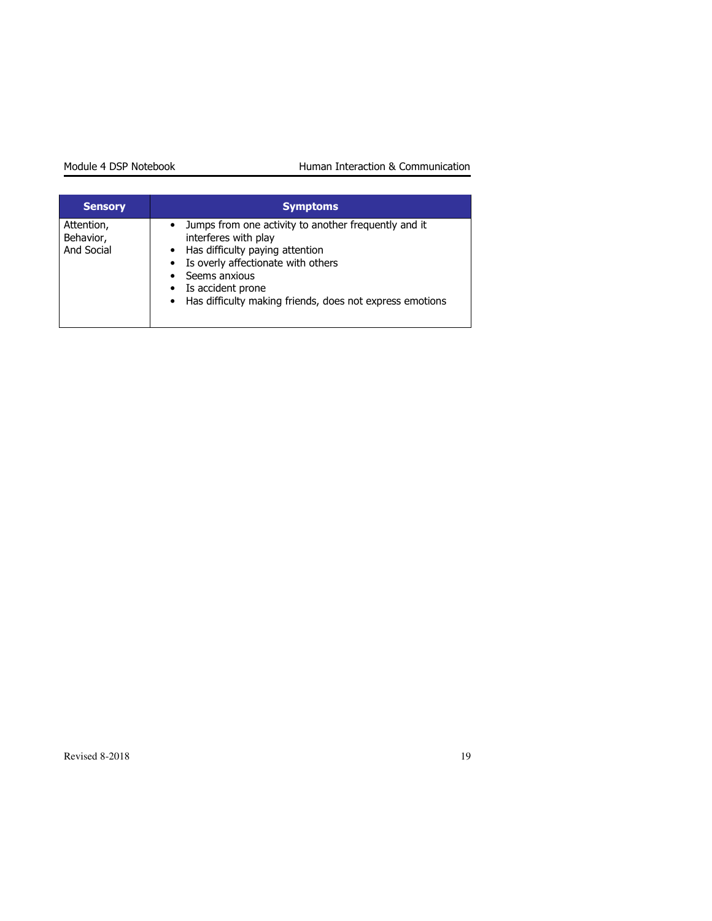| <b>Sensory</b>                        | <b>Symptoms</b>                                                                                                                                                                                                                                                     |
|---------------------------------------|---------------------------------------------------------------------------------------------------------------------------------------------------------------------------------------------------------------------------------------------------------------------|
| Attention,<br>Behavior,<br>And Social | • Jumps from one activity to another frequently and it<br>interferes with play<br>• Has difficulty paying attention<br>• Is overly affectionate with others<br>• Seems anxious<br>• Is accident prone<br>• Has difficulty making friends, does not express emotions |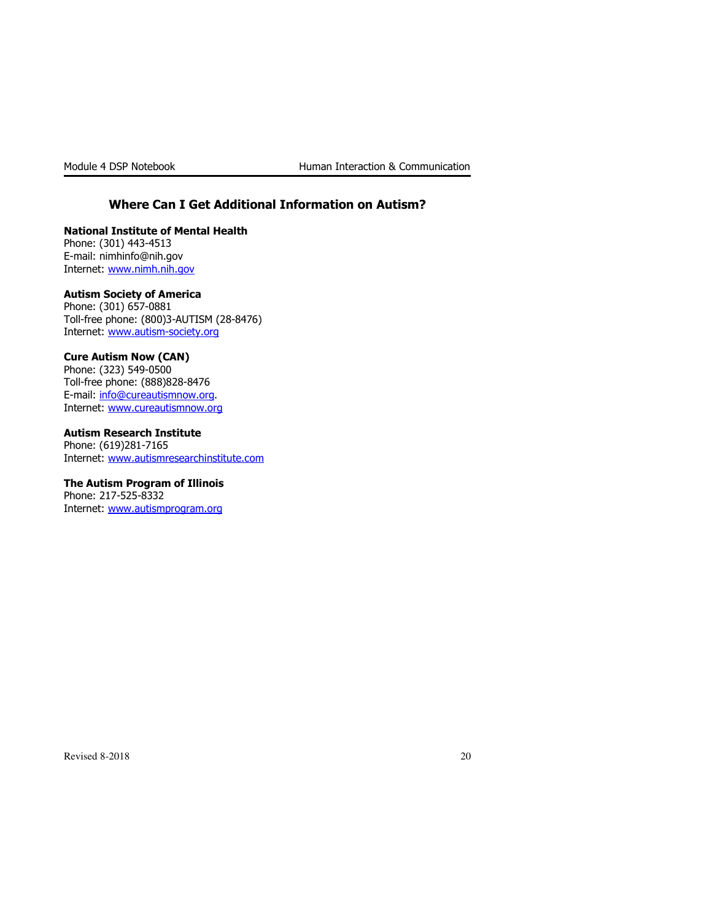### Where Can I Get Additional Information on Autism?

National Institute of Mental Health Phone: (301) 443-4513 E-mail: nimhinfo@nih.gov Internet: www.nimh.nih.gov

#### Autism Society of America

Phone: (301) 657-0881 Toll-free phone: (800)3-AUTISM (28-8476) Internet: www.autism-society.org

#### Cure Autism Now (CAN)

Phone: (323) 549-0500 Toll-free phone: (888)828-8476 E-mail: info@cureautismnow.org. Internet: www.cureautismnow.org

Autism Research Institute Phone: (619)281-7165 Internet: www.autismresearchinstitute.com

#### The Autism Program of Illinois

Phone: 217-525-8332 Internet: www.autismprogram.org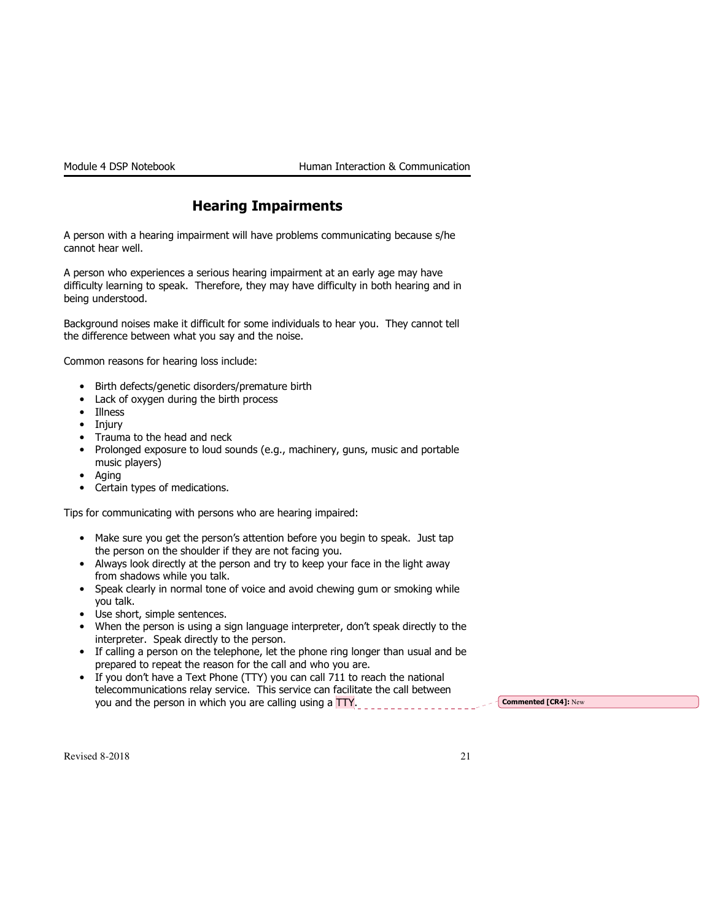### Hearing Impairments

A person with a hearing impairment will have problems communicating because s/he cannot hear well.

A person who experiences a serious hearing impairment at an early age may have difficulty learning to speak. Therefore, they may have difficulty in both hearing and in being understood.

Background noises make it difficult for some individuals to hear you. They cannot tell the difference between what you say and the noise.

Common reasons for hearing loss include:

- Birth defects/genetic disorders/premature birth
- Lack of oxygen during the birth process
- Illness
- Injury
- Trauma to the head and neck
- Prolonged exposure to loud sounds (e.g., machinery, guns, music and portable music players)
- Aging
- Certain types of medications.

Tips for communicating with persons who are hearing impaired:

- Make sure you get the person's attention before you begin to speak. Just tap the person on the shoulder if they are not facing you.
- Always look directly at the person and try to keep your face in the light away from shadows while you talk.
- Speak clearly in normal tone of voice and avoid chewing gum or smoking while you talk.
- Use short, simple sentences.
- When the person is using a sign language interpreter, don't speak directly to the interpreter. Speak directly to the person.
- If calling a person on the telephone, let the phone ring longer than usual and be prepared to repeat the reason for the call and who you are.
- If you don't have a Text Phone (TTY) you can call 711 to reach the national telecommunications relay service. This service can facilitate the call between you and the person in which you are calling using a  $TTY$ .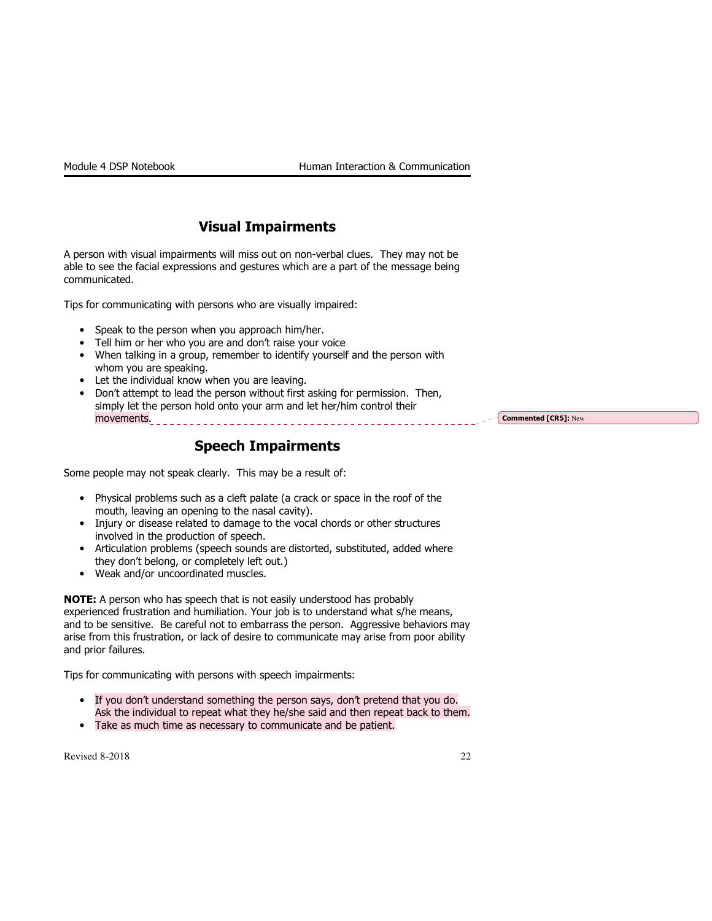### Visual Impairments

A person with visual impairments will miss out on non-verbal clues. They may not be able to see the facial expressions and gestures which are a part of the message being communicated.

Tips for communicating with persons who are visually impaired:

- Speak to the person when you approach him/her.
- Tell him or her who you are and don't raise your voice
- When talking in a group, remember to identify yourself and the person with whom you are speaking.
- Let the individual know when you are leaving.
- Don't attempt to lead the person without first asking for permission. Then, simply let the person hold onto your arm and let her/him control their movements.

- Commented [CR5]: New

### Speech Impairments

Some people may not speak clearly. This may be a result of:

- Physical problems such as a cleft palate (a crack or space in the roof of the mouth, leaving an opening to the nasal cavity).
- Injury or disease related to damage to the vocal chords or other structures involved in the production of speech.
- Articulation problems (speech sounds are distorted, substituted, added where they don't belong, or completely left out.)
- Weak and/or uncoordinated muscles.

NOTE: A person who has speech that is not easily understood has probably experienced frustration and humiliation. Your job is to understand what s/he means, and to be sensitive. Be careful not to embarrass the person. Aggressive behaviors may arise from this frustration, or lack of desire to communicate may arise from poor ability and prior failures.

Tips for communicating with persons with speech impairments:

- If you don't understand something the person says, don't pretend that you do. Ask the individual to repeat what they he/she said and then repeat back to them.
- Take as much time as necessary to communicate and be patient.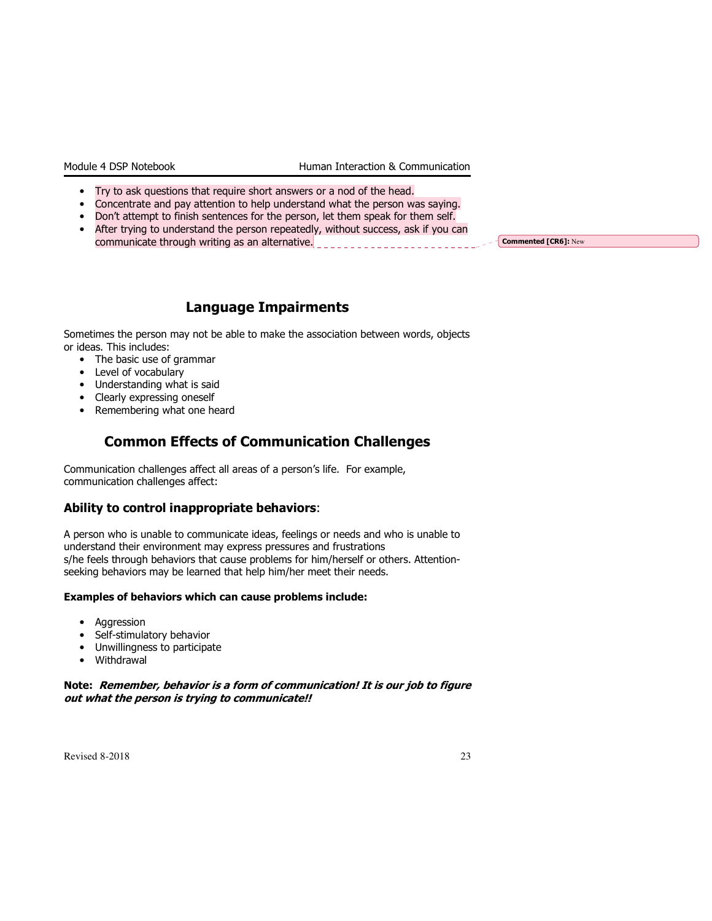- Try to ask questions that require short answers or a nod of the head.
- Concentrate and pay attention to help understand what the person was saying.
- Don't attempt to finish sentences for the person, let them speak for them self.
- After trying to understand the person repeatedly, without success, ask if you can communicate through writing as an alternative. Commented [CR6]: New

### Language Impairments

Sometimes the person may not be able to make the association between words, objects or ideas. This includes:

- The basic use of grammar
- Level of vocabulary
- Understanding what is said
- Clearly expressing oneself
- Remembering what one heard

### Common Effects of Communication Challenges

Communication challenges affect all areas of a person's life. For example, communication challenges affect:

### Ability to control inappropriate behaviors:

A person who is unable to communicate ideas, feelings or needs and who is unable to understand their environment may express pressures and frustrations s/he feels through behaviors that cause problems for him/herself or others. Attentionseeking behaviors may be learned that help him/her meet their needs.

#### Examples of behaviors which can cause problems include:

- Aggression
- Self-stimulatory behavior
- Unwillingness to participate
- Withdrawal

#### Note: Remember, behavior is a form of communication! It is our job to figure out what the person is trying to communicate!!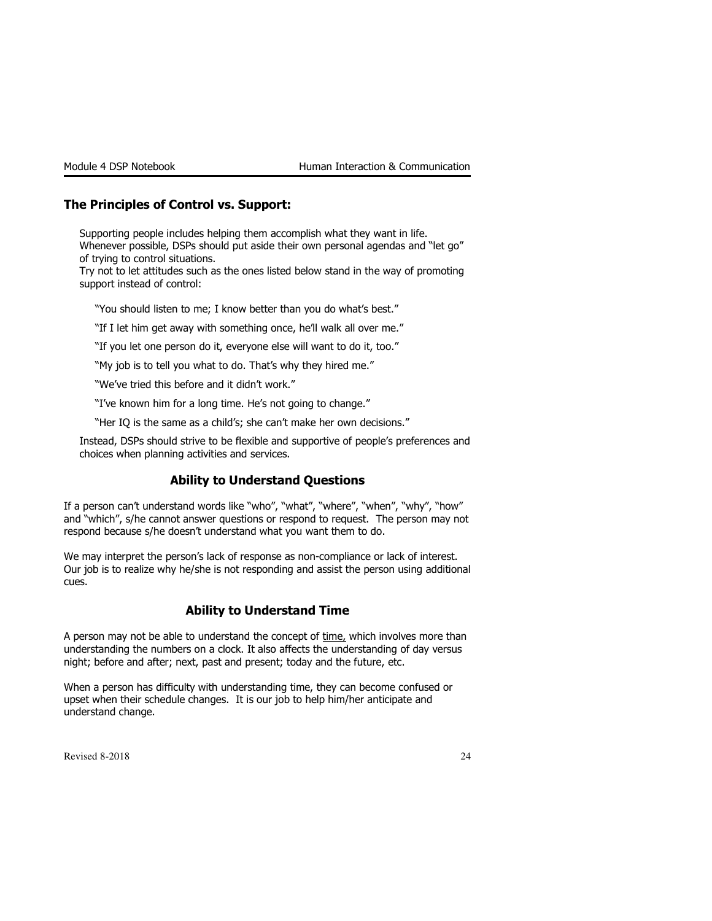### The Principles of Control vs. Support:

Supporting people includes helping them accomplish what they want in life. Whenever possible, DSPs should put aside their own personal agendas and "let go" of trying to control situations.

Try not to let attitudes such as the ones listed below stand in the way of promoting support instead of control:

"You should listen to me; I know better than you do what's best."

"If I let him get away with something once, he'll walk all over me."

"If you let one person do it, everyone else will want to do it, too."

"My job is to tell you what to do. That's why they hired me."

"We've tried this before and it didn't work."

"I've known him for a long time. He's not going to change."

"Her IQ is the same as a child's; she can't make her own decisions."

Instead, DSPs should strive to be flexible and supportive of people's preferences and choices when planning activities and services.

### Ability to Understand Questions

If a person can't understand words like "who", "what", "where", "when", "why", "how" and "which", s/he cannot answer questions or respond to request. The person may not respond because s/he doesn't understand what you want them to do.

We may interpret the person's lack of response as non-compliance or lack of interest. Our job is to realize why he/she is not responding and assist the person using additional cues.

#### Ability to Understand Time

A person may not be able to understand the concept of time, which involves more than understanding the numbers on a clock. It also affects the understanding of day versus night; before and after; next, past and present; today and the future, etc.

When a person has difficulty with understanding time, they can become confused or upset when their schedule changes. It is our job to help him/her anticipate and understand change.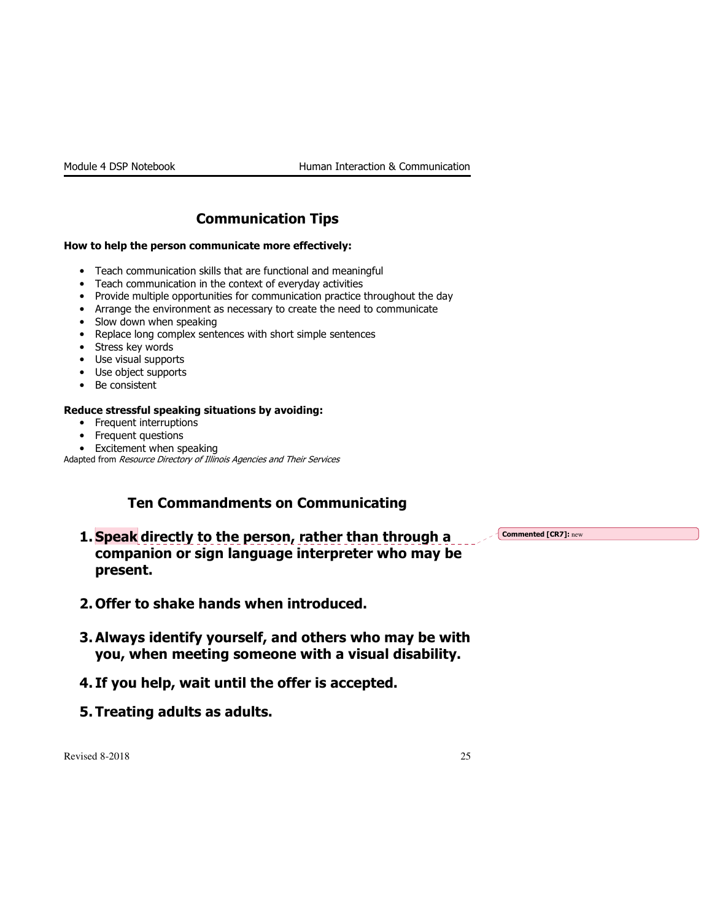## Communication Tips

#### How to help the person communicate more effectively:

- Teach communication skills that are functional and meaningful
- Teach communication in the context of everyday activities
- Provide multiple opportunities for communication practice throughout the day
- Arrange the environment as necessary to create the need to communicate
- Slow down when speaking
- Replace long complex sentences with short simple sentences
- Stress key words
- Use visual supports
- Use object supports
- Be consistent

### Reduce stressful speaking situations by avoiding:

- Frequent interruptions
- Frequent questions
- Excitement when speaking

Adapted from Resource Directory of Illinois Agencies and Their Services

### Ten Commandments on Communicating

1. Speak directly to the person, rather than through a companion or sign language interpreter who may be present.

Commented [CR7]: new

- 2. Offer to shake hands when introduced.
- 3. Always identify yourself, and others who may be with you, when meeting someone with a visual disability.
- 4. If you help, wait until the offer is accepted.
- 5. Treating adults as adults.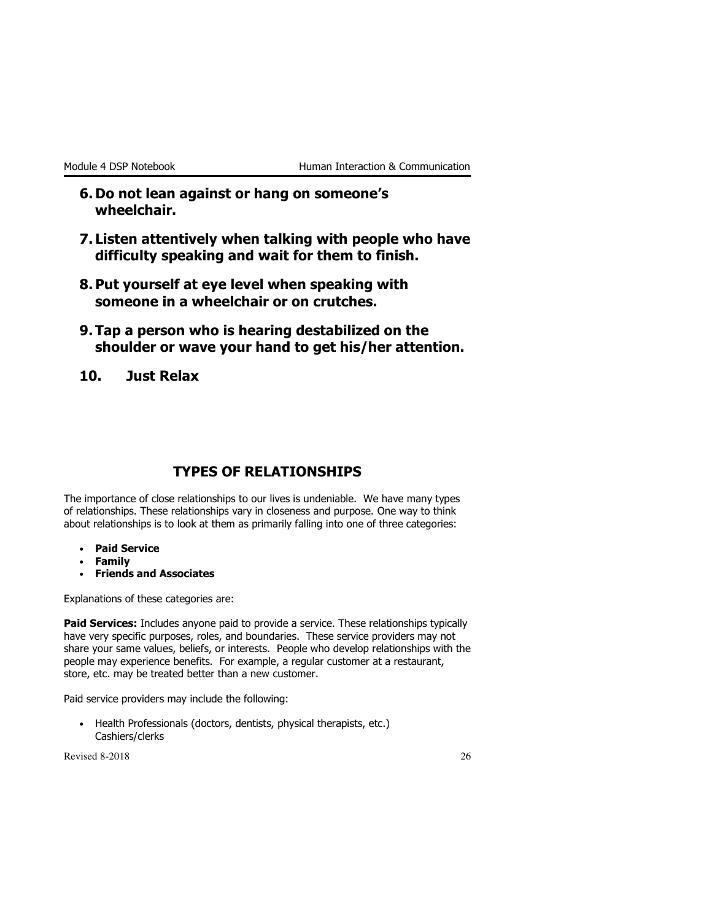- 6. Do not lean against or hang on someone's wheelchair.
- 7. Listen attentively when talking with people who have difficulty speaking and wait for them to finish.
- 8. Put yourself at eye level when speaking with someone in a wheelchair or on crutches.
- 9. Tap a person who is hearing destabilized on the shoulder or wave your hand to get his/her attention.
- 10. Just Relax

### TYPES OF RELATIONSHIPS

The importance of close relationships to our lives is undeniable. We have many types of relationships. These relationships vary in closeness and purpose. One way to think about relationships is to look at them as primarily falling into one of three categories:

- Paid Service
- Family
- Friends and Associates

Explanations of these categories are:

Paid Services: Includes anyone paid to provide a service. These relationships typically have very specific purposes, roles, and boundaries. These service providers may not share your same values, beliefs, or interests. People who develop relationships with the people may experience benefits. For example, a regular customer at a restaurant, store, etc. may be treated better than a new customer.

Paid service providers may include the following:

• Health Professionals (doctors, dentists, physical therapists, etc.) Cashiers/clerks

 $\text{Revised } 8\text{-}2018$  26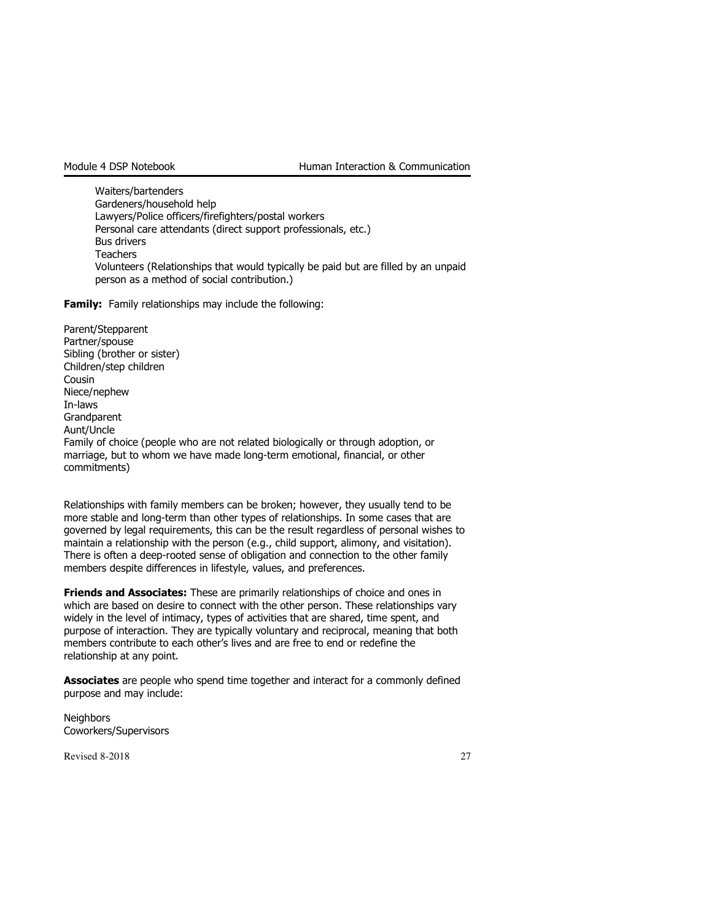Waiters/bartenders Gardeners/household help Lawyers/Police officers/firefighters/postal workers Personal care attendants (direct support professionals, etc.) Bus drivers **Teachers** Volunteers (Relationships that would typically be paid but are filled by an unpaid person as a method of social contribution.)

**Family:** Family relationships may include the following:

Parent/Stepparent Partner/spouse Sibling (brother or sister) Children/step children **Cousin** Niece/nephew In-laws **Grandparent** Aunt/Uncle Family of choice (people who are not related biologically or through adoption, or marriage, but to whom we have made long-term emotional, financial, or other commitments)

Relationships with family members can be broken; however, they usually tend to be more stable and long-term than other types of relationships. In some cases that are governed by legal requirements, this can be the result regardless of personal wishes to maintain a relationship with the person (e.g., child support, alimony, and visitation). There is often a deep-rooted sense of obligation and connection to the other family members despite differences in lifestyle, values, and preferences.

**Friends and Associates:** These are primarily relationships of choice and ones in which are based on desire to connect with the other person. These relationships vary widely in the level of intimacy, types of activities that are shared, time spent, and purpose of interaction. They are typically voluntary and reciprocal, meaning that both members contribute to each other's lives and are free to end or redefine the relationship at any point.

**Associates** are people who spend time together and interact for a commonly defined purpose and may include:

**Neighbors** Coworkers/Supervisors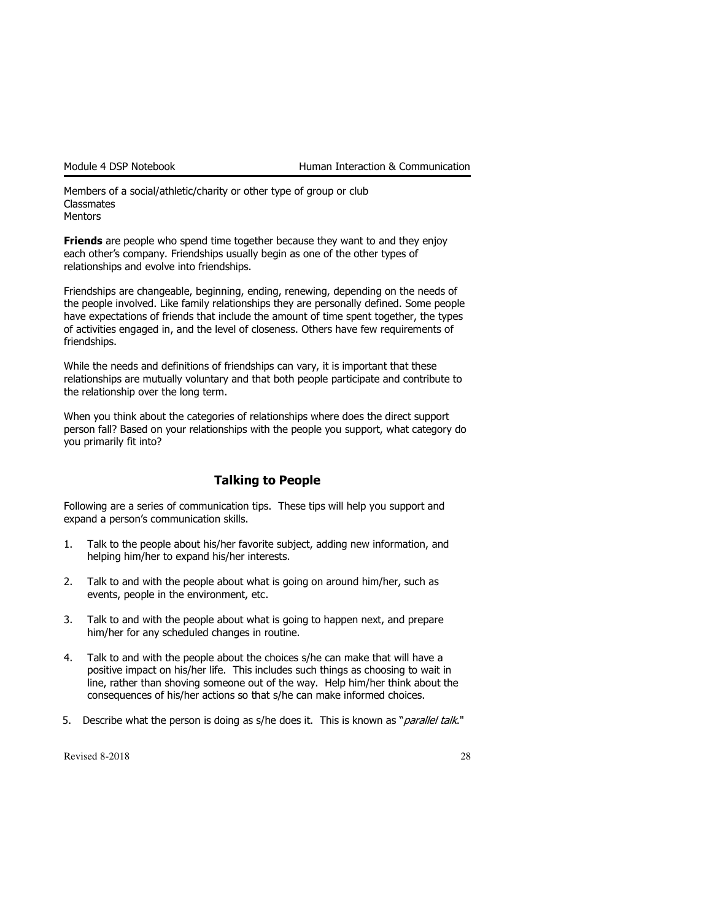Members of a social/athletic/charity or other type of group or club **Classmates Mentors** 

**Friends** are people who spend time together because they want to and they enjoy each other's company. Friendships usually begin as one of the other types of relationships and evolve into friendships.

Friendships are changeable, beginning, ending, renewing, depending on the needs of the people involved. Like family relationships they are personally defined. Some people have expectations of friends that include the amount of time spent together, the types of activities engaged in, and the level of closeness. Others have few requirements of friendships.

While the needs and definitions of friendships can vary, it is important that these relationships are mutually voluntary and that both people participate and contribute to the relationship over the long term.

When you think about the categories of relationships where does the direct support person fall? Based on your relationships with the people you support, what category do you primarily fit into?

### Talking to People

Following are a series of communication tips. These tips will help you support and expand a person's communication skills.

- 1. Talk to the people about his/her favorite subject, adding new information, and helping him/her to expand his/her interests.
- 2. Talk to and with the people about what is going on around him/her, such as events, people in the environment, etc.
- 3. Talk to and with the people about what is going to happen next, and prepare him/her for any scheduled changes in routine.
- 4. Talk to and with the people about the choices s/he can make that will have a positive impact on his/her life. This includes such things as choosing to wait in line, rather than shoving someone out of the way. Help him/her think about the consequences of his/her actions so that s/he can make informed choices.
- 5. Describe what the person is doing as s/he does it. This is known as "*parallel talk*."

 $\text{Revised } 8\text{-}2018$  28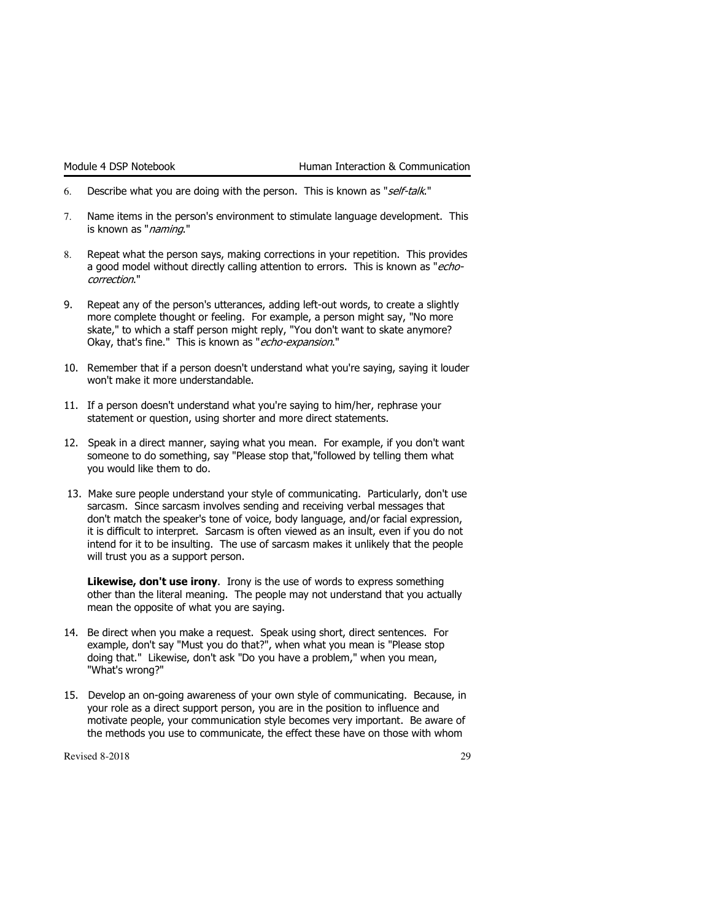- 6. Describe what you are doing with the person. This is known as "self-talk."
- 7. Name items in the person's environment to stimulate language development. This is known as "naming."
- Repeat what the person says, making corrections in your repetition. This provides a good model without directly calling attention to errors. This is known as " $echo$ correction."
- 9. Repeat any of the person's utterances, adding left-out words, to create a slightly more complete thought or feeling. For example, a person might say, "No more skate," to which a staff person might reply, "You don't want to skate anymore? Okay, that's fine." This is known as "echo-expansion."
- 10. Remember that if a person doesn't understand what you're saying, saying it louder won't make it more understandable.
- 11. If a person doesn't understand what you're saying to him/her, rephrase your statement or question, using shorter and more direct statements.
- 12. Speak in a direct manner, saying what you mean. For example, if you don't want someone to do something, say "Please stop that,"followed by telling them what you would like them to do.
- 13. Make sure people understand your style of communicating. Particularly, don't use sarcasm. Since sarcasm involves sending and receiving verbal messages that don't match the speaker's tone of voice, body language, and/or facial expression, it is difficult to interpret. Sarcasm is often viewed as an insult, even if you do not intend for it to be insulting. The use of sarcasm makes it unlikely that the people will trust you as a support person.

Likewise, don't use irony. Irony is the use of words to express something other than the literal meaning. The people may not understand that you actually mean the opposite of what you are saying.

- 14. Be direct when you make a request. Speak using short, direct sentences. For example, don't say "Must you do that?", when what you mean is "Please stop doing that." Likewise, don't ask "Do you have a problem," when you mean, "What's wrong?"
- 15. Develop an on-going awareness of your own style of communicating. Because, in your role as a direct support person, you are in the position to influence and motivate people, your communication style becomes very important. Be aware of the methods you use to communicate, the effect these have on those with whom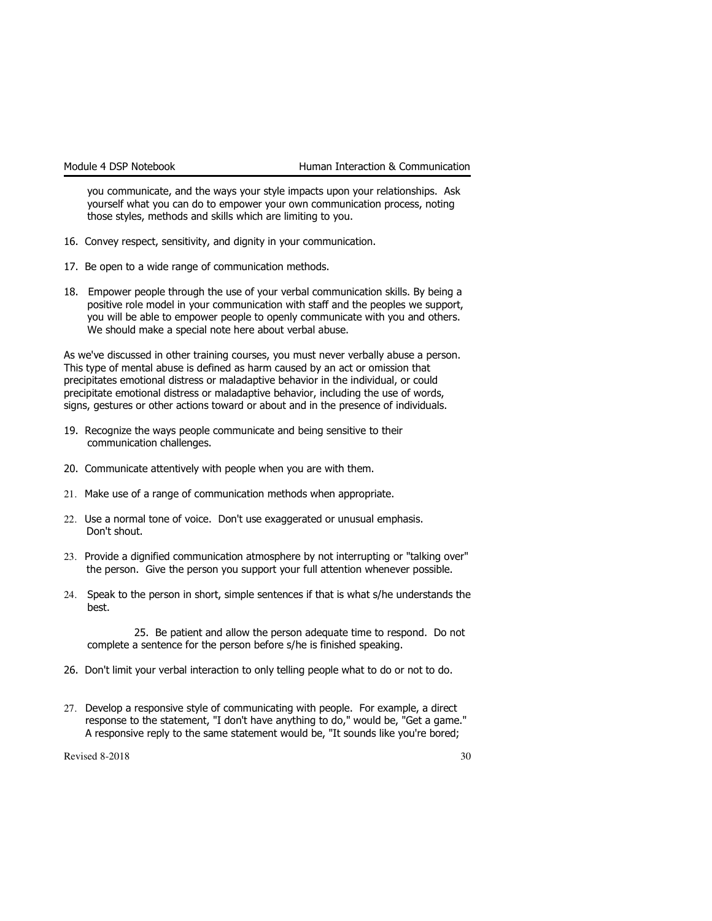you communicate, and the ways your style impacts upon your relationships. Ask yourself what you can do to empower your own communication process, noting those styles, methods and skills which are limiting to you.

- 16. Convey respect, sensitivity, and dignity in your communication.
- 17. Be open to a wide range of communication methods.
- 18. Empower people through the use of your verbal communication skills. By being a positive role model in your communication with staff and the peoples we support, you will be able to empower people to openly communicate with you and others. We should make a special note here about verbal abuse.

As we've discussed in other training courses, you must never verbally abuse a person. This type of mental abuse is defined as harm caused by an act or omission that precipitates emotional distress or maladaptive behavior in the individual, or could precipitate emotional distress or maladaptive behavior, including the use of words, signs, gestures or other actions toward or about and in the presence of individuals.

- 19. Recognize the ways people communicate and being sensitive to their communication challenges.
- 20. Communicate attentively with people when you are with them.
- 21. Make use of a range of communication methods when appropriate.
- 22. Use a normal tone of voice. Don't use exaggerated or unusual emphasis. Don't shout.
- 23. Provide a dignified communication atmosphere by not interrupting or "talking over" the person. Give the person you support your full attention whenever possible.
- 24. Speak to the person in short, simple sentences if that is what s/he understands the best.

25. Be patient and allow the person adequate time to respond. Do not complete a sentence for the person before s/he is finished speaking.

- 26. Don't limit your verbal interaction to only telling people what to do or not to do.
- 27. Develop a responsive style of communicating with people. For example, a direct response to the statement, "I don't have anything to do," would be, "Get a game." A responsive reply to the same statement would be, "It sounds like you're bored;

 $\text{Revised } 8\text{-}2018$  30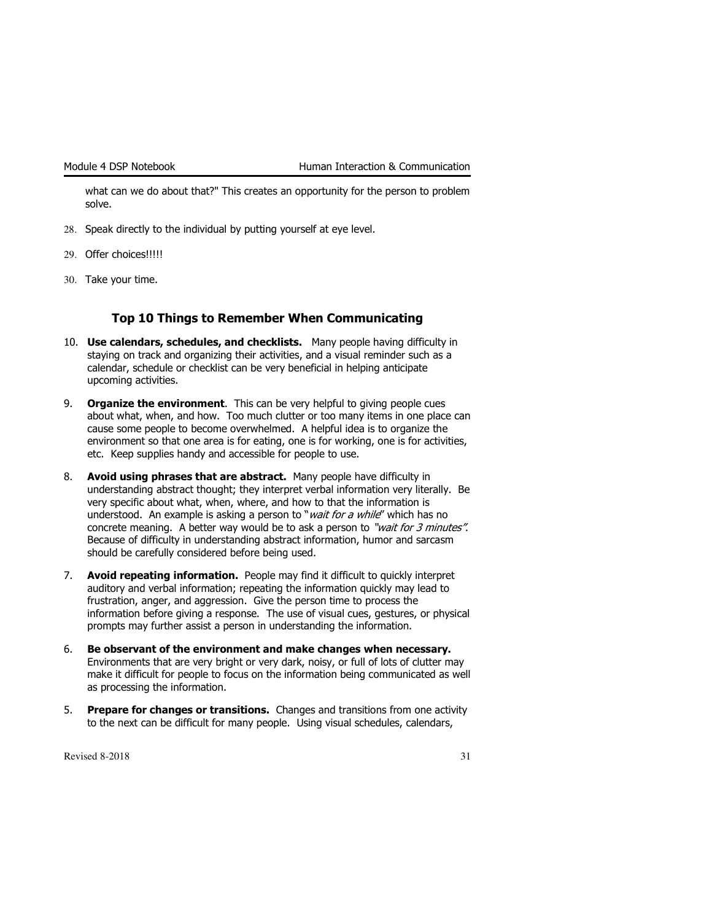what can we do about that?" This creates an opportunity for the person to problem solve.

- 28. Speak directly to the individual by putting yourself at eye level.
- 29. Offer choices!!!!!
- 30. Take your time.

#### Top 10 Things to Remember When Communicating

- 10. Use calendars, schedules, and checklists. Many people having difficulty in staying on track and organizing their activities, and a visual reminder such as a calendar, schedule or checklist can be very beneficial in helping anticipate upcoming activities.
- 9. Organize the environment. This can be very helpful to giving people cues about what, when, and how. Too much clutter or too many items in one place can cause some people to become overwhelmed. A helpful idea is to organize the environment so that one area is for eating, one is for working, one is for activities, etc. Keep supplies handy and accessible for people to use.
- 8. Avoid using phrases that are abstract. Many people have difficulty in understanding abstract thought; they interpret verbal information very literally. Be very specific about what, when, where, and how to that the information is understood. An example is asking a person to "*wait for a while"* which has no concrete meaning. A better way would be to ask a person to "wait for 3 minutes". Because of difficulty in understanding abstract information, humor and sarcasm should be carefully considered before being used.
- 7. Avoid repeating information. People may find it difficult to quickly interpret auditory and verbal information; repeating the information quickly may lead to frustration, anger, and aggression. Give the person time to process the information before giving a response. The use of visual cues, gestures, or physical prompts may further assist a person in understanding the information.
- 6. Be observant of the environment and make changes when necessary. Environments that are very bright or very dark, noisy, or full of lots of clutter may make it difficult for people to focus on the information being communicated as well as processing the information.
- 5. Prepare for changes or transitions. Changes and transitions from one activity to the next can be difficult for many people. Using visual schedules, calendars,

Revised 8-2018  $\overline{31}$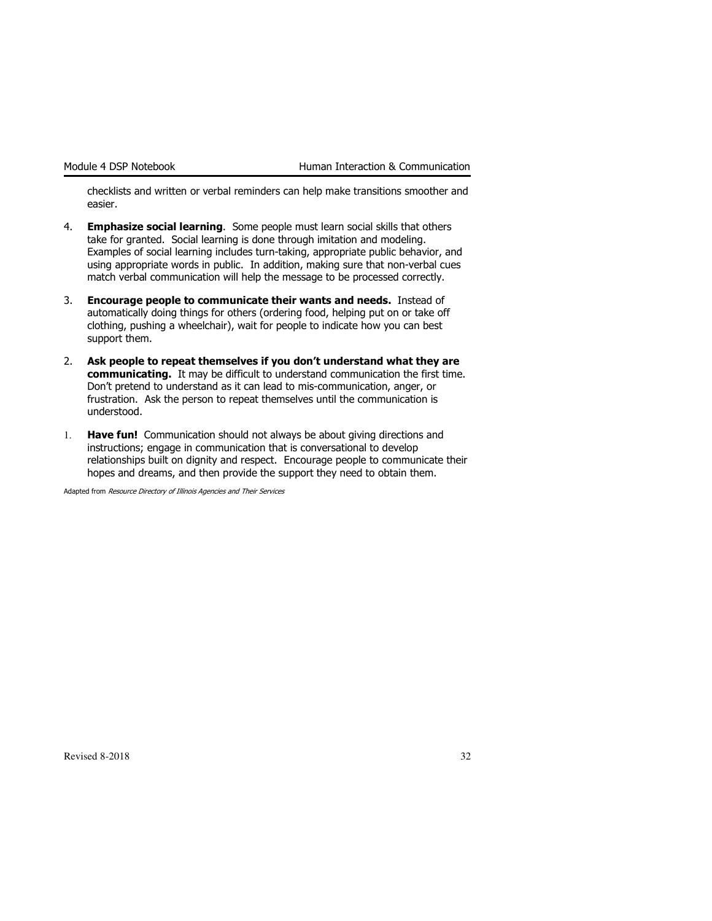checklists and written or verbal reminders can help make transitions smoother and easier.

- 4. **Emphasize social learning**. Some people must learn social skills that others take for granted. Social learning is done through imitation and modeling. Examples of social learning includes turn-taking, appropriate public behavior, and using appropriate words in public. In addition, making sure that non-verbal cues match verbal communication will help the message to be processed correctly.
- 3. Encourage people to communicate their wants and needs. Instead of automatically doing things for others (ordering food, helping put on or take off clothing, pushing a wheelchair), wait for people to indicate how you can best support them.
- 2. Ask people to repeat themselves if you don't understand what they are communicating. It may be difficult to understand communication the first time. Don't pretend to understand as it can lead to mis-communication, anger, or frustration. Ask the person to repeat themselves until the communication is understood.
- 1. Have fun! Communication should not always be about giving directions and instructions; engage in communication that is conversational to develop relationships built on dignity and respect. Encourage people to communicate their hopes and dreams, and then provide the support they need to obtain them.

Adapted from Resource Directory of Illinois Agencies and Their Services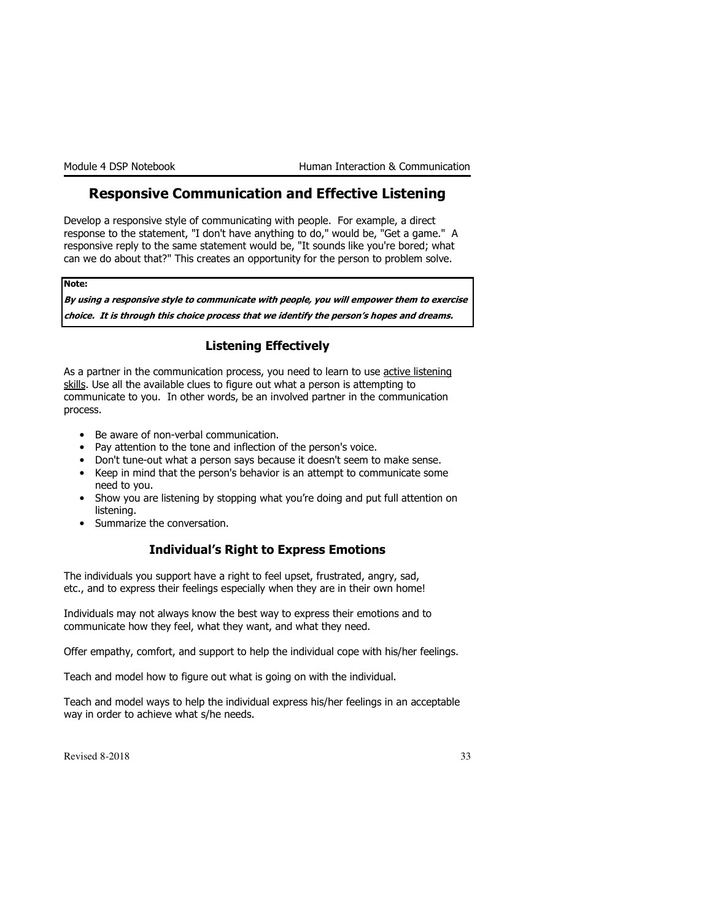### Responsive Communication and Effective Listening

Develop a responsive style of communicating with people. For example, a direct response to the statement, "I don't have anything to do," would be, "Get a game." A responsive reply to the same statement would be, "It sounds like you're bored; what can we do about that?" This creates an opportunity for the person to problem solve.

Note:

By using a responsive style to communicate with people, you will empower them to exercise choice. It is through this choice process that we identify the person's hopes and dreams.

### Listening Effectively

As a partner in the communication process, you need to learn to use active listening skills. Use all the available clues to figure out what a person is attempting to communicate to you. In other words, be an involved partner in the communication process.

- Be aware of non-verbal communication.
- Pay attention to the tone and inflection of the person's voice.
- Don't tune-out what a person says because it doesn't seem to make sense.
- Keep in mind that the person's behavior is an attempt to communicate some need to you.
- Show you are listening by stopping what you're doing and put full attention on listening.
- Summarize the conversation.

### Individual's Right to Express Emotions

The individuals you support have a right to feel upset, frustrated, angry, sad, etc., and to express their feelings especially when they are in their own home!

Individuals may not always know the best way to express their emotions and to communicate how they feel, what they want, and what they need.

Offer empathy, comfort, and support to help the individual cope with his/her feelings.

Teach and model how to figure out what is going on with the individual.

Teach and model ways to help the individual express his/her feelings in an acceptable way in order to achieve what s/he needs.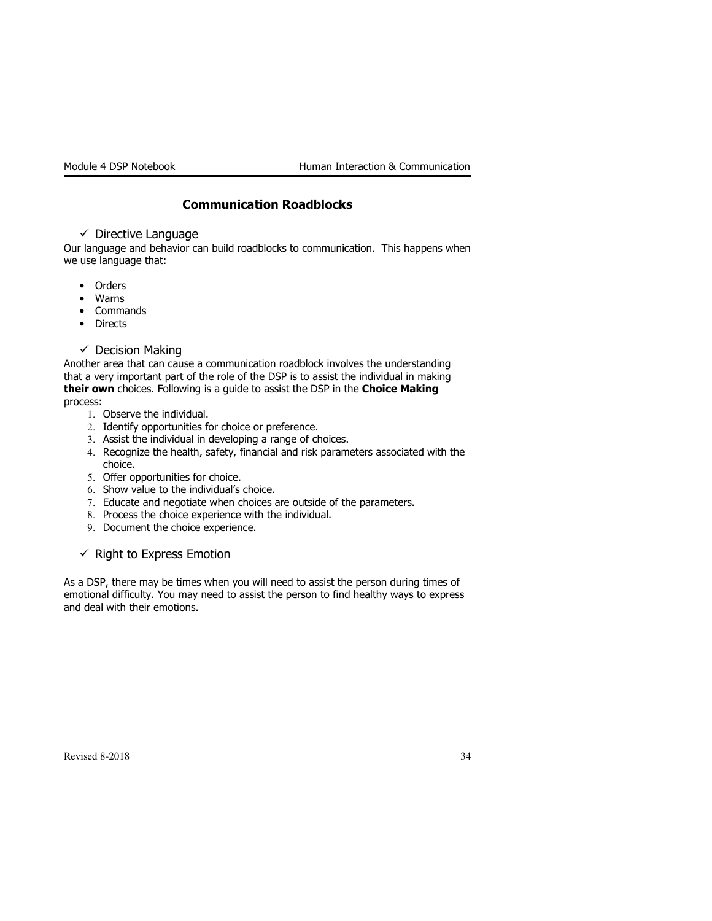### Communication Roadblocks

- Directive Language

Our language and behavior can build roadblocks to communication. This happens when we use language that:

- Orders
- Warns
- Commands
- Directs
- Decision Making

Another area that can cause a communication roadblock involves the understanding that a very important part of the role of the DSP is to assist the individual in making their own choices. Following is a guide to assist the DSP in the Choice Making process:

- 1. Observe the individual.
- 2. Identify opportunities for choice or preference.
- 3. Assist the individual in developing a range of choices.
- 4. Recognize the health, safety, financial and risk parameters associated with the choice.
- 5. Offer opportunities for choice.
- 6. Show value to the individual's choice.
- 7. Educate and negotiate when choices are outside of the parameters.
- 8. Process the choice experience with the individual.
- 9. Document the choice experience.

 $\checkmark$  Right to Express Emotion

As a DSP, there may be times when you will need to assist the person during times of emotional difficulty. You may need to assist the person to find healthy ways to express and deal with their emotions.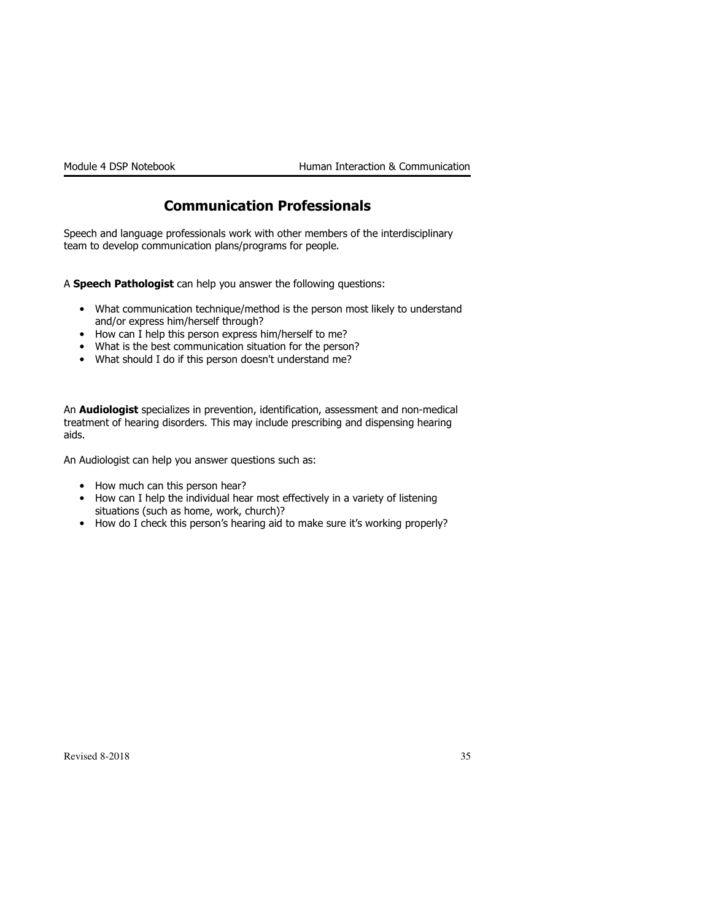### Communication Professionals

Speech and language professionals work with other members of the interdisciplinary team to develop communication plans/programs for people.

A Speech Pathologist can help you answer the following questions:

- What communication technique/method is the person most likely to understand and/or express him/herself through?
- How can I help this person express him/herself to me?
- What is the best communication situation for the person?
- What should I do if this person doesn't understand me?

An **Audiologist** specializes in prevention, identification, assessment and non-medical treatment of hearing disorders. This may include prescribing and dispensing hearing aids.

An Audiologist can help you answer questions such as:

- How much can this person hear?
- How can I help the individual hear most effectively in a variety of listening situations (such as home, work, church)?
- How do I check this person's hearing aid to make sure it's working properly?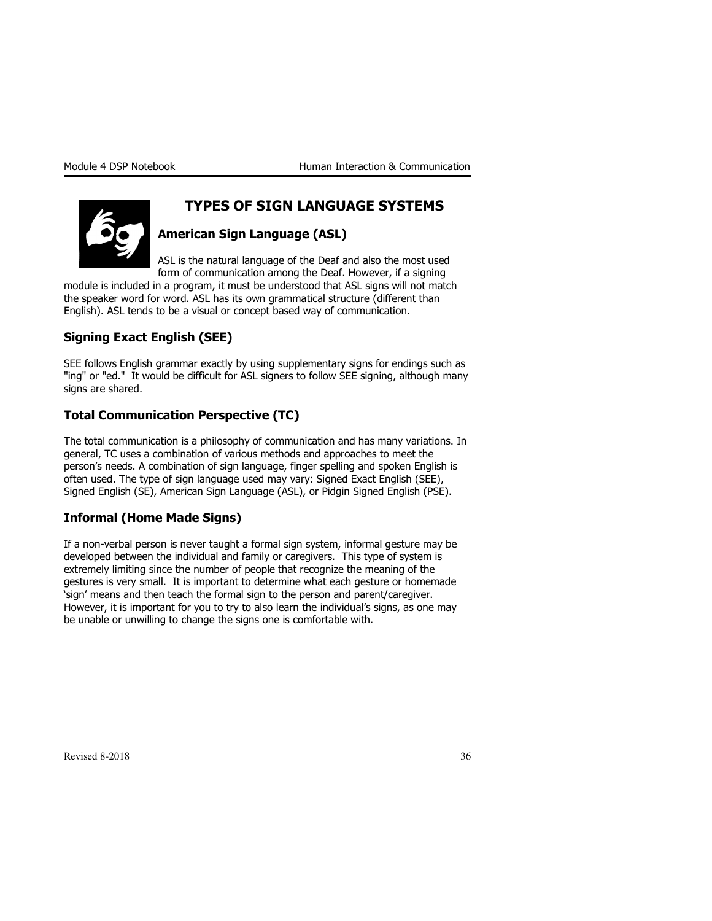

### TYPES OF SIGN LANGUAGE SYSTEMS

### American Sign Language (ASL)

ASL is the natural language of the Deaf and also the most used form of communication among the Deaf. However, if a signing

module is included in a program, it must be understood that ASL signs will not match the speaker word for word. ASL has its own grammatical structure (different than English). ASL tends to be a visual or concept based way of communication.

### Signing Exact English (SEE)

SEE follows English grammar exactly by using supplementary signs for endings such as "ing" or "ed." It would be difficult for ASL signers to follow SEE signing, although many signs are shared.

### Total Communication Perspective (TC)

The total communication is a philosophy of communication and has many variations. In general, TC uses a combination of various methods and approaches to meet the person's needs. A combination of sign language, finger spelling and spoken English is often used. The type of sign language used may vary: Signed Exact English (SEE), Signed English (SE), American Sign Language (ASL), or Pidgin Signed English (PSE).

### Informal (Home Made Signs)

If a non-verbal person is never taught a formal sign system, informal gesture may be developed between the individual and family or caregivers. This type of system is extremely limiting since the number of people that recognize the meaning of the gestures is very small. It is important to determine what each gesture or homemade 'sign' means and then teach the formal sign to the person and parent/caregiver. However, it is important for you to try to also learn the individual's signs, as one may be unable or unwilling to change the signs one is comfortable with.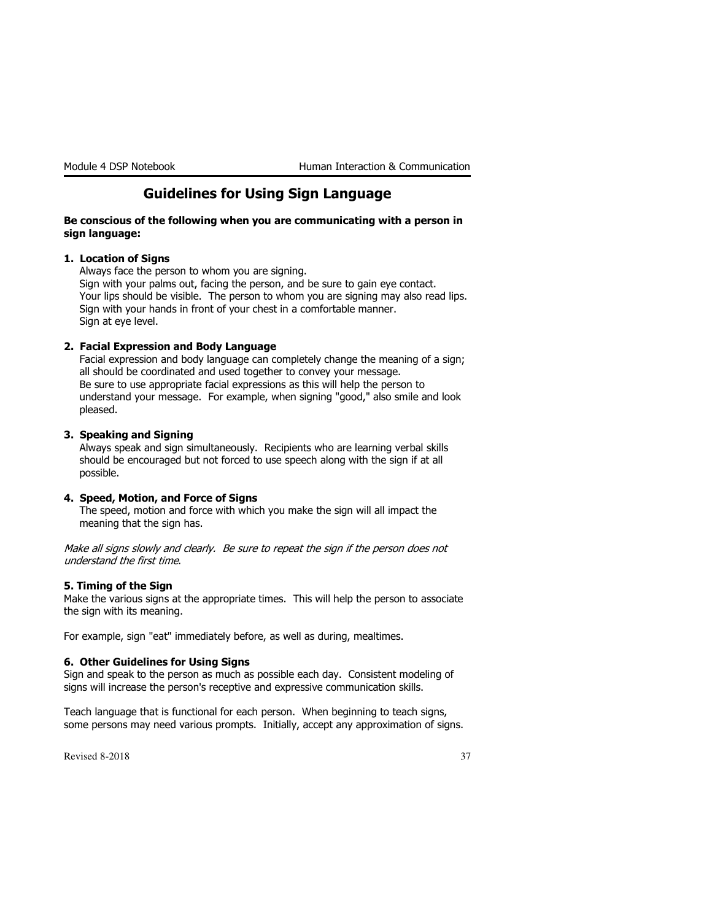### Guidelines for Using Sign Language

#### Be conscious of the following when you are communicating with a person in sign language:

#### 1. Location of Signs

Always face the person to whom you are signing. Sign with your palms out, facing the person, and be sure to gain eye contact.

Your lips should be visible. The person to whom you are signing may also read lips. Sign with your hands in front of your chest in a comfortable manner. Sign at eye level.

#### 2. Facial Expression and Body Language

Facial expression and body language can completely change the meaning of a sign; all should be coordinated and used together to convey your message. Be sure to use appropriate facial expressions as this will help the person to understand your message. For example, when signing "good," also smile and look pleased.

#### 3. Speaking and Signing

Always speak and sign simultaneously. Recipients who are learning verbal skills should be encouraged but not forced to use speech along with the sign if at all possible.

#### 4. Speed, Motion, and Force of Signs

The speed, motion and force with which you make the sign will all impact the meaning that the sign has.

Make all signs slowly and clearly. Be sure to repeat the sign if the person does not understand the first time.

#### 5. Timing of the Sign

Make the various signs at the appropriate times. This will help the person to associate the sign with its meaning.

For example, sign "eat" immediately before, as well as during, mealtimes.

#### 6. Other Guidelines for Using Signs

Sign and speak to the person as much as possible each day. Consistent modeling of signs will increase the person's receptive and expressive communication skills.

Teach language that is functional for each person. When beginning to teach signs, some persons may need various prompts. Initially, accept any approximation of signs.

Revised 8-2018  $\frac{37}{2}$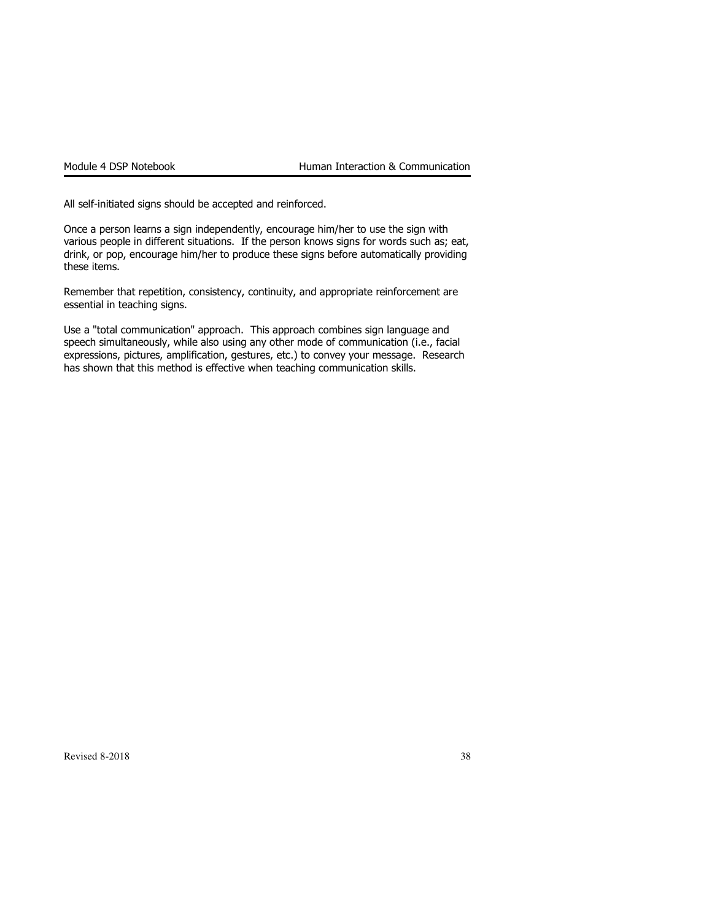All self-initiated signs should be accepted and reinforced.

Once a person learns a sign independently, encourage him/her to use the sign with various people in different situations. If the person knows signs for words such as; eat, drink, or pop, encourage him/her to produce these signs before automatically providing these items.

Remember that repetition, consistency, continuity, and appropriate reinforcement are essential in teaching signs.

Use a "total communication" approach. This approach combines sign language and speech simultaneously, while also using any other mode of communication (i.e., facial expressions, pictures, amplification, gestures, etc.) to convey your message. Research has shown that this method is effective when teaching communication skills.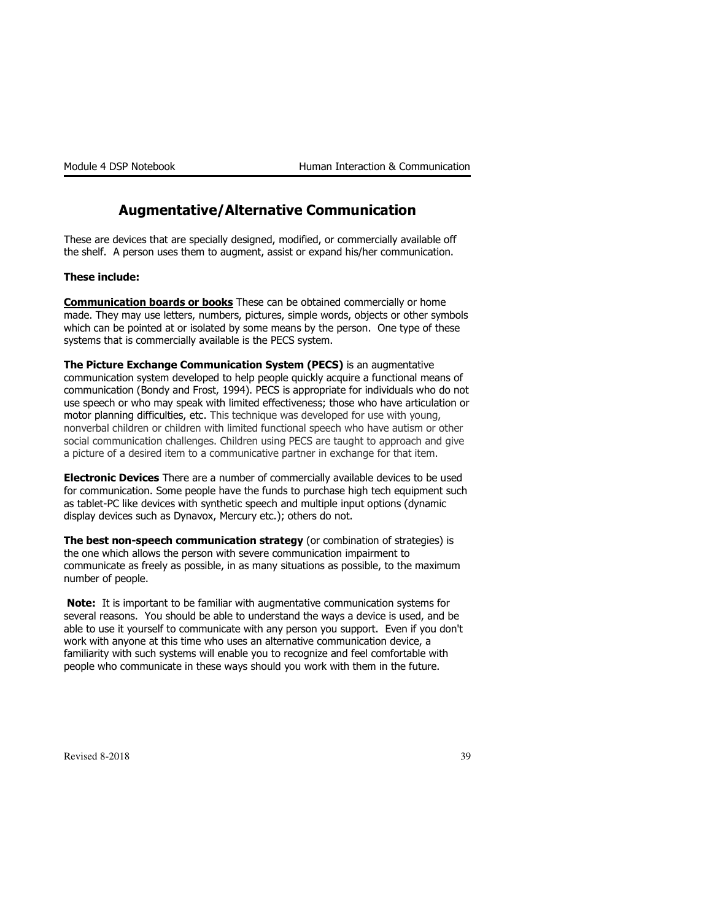### Augmentative/Alternative Communication

These are devices that are specially designed, modified, or commercially available off the shelf. A person uses them to augment, assist or expand his/her communication.

#### These include:

**Communication boards or books** These can be obtained commercially or home made. They may use letters, numbers, pictures, simple words, objects or other symbols which can be pointed at or isolated by some means by the person. One type of these systems that is commercially available is the PECS system.

The Picture Exchange Communication System (PECS) is an augmentative communication system developed to help people quickly acquire a functional means of communication (Bondy and Frost, 1994). PECS is appropriate for individuals who do not use speech or who may speak with limited effectiveness; those who have articulation or motor planning difficulties, etc. This technique was developed for use with young, nonverbal children or children with limited functional speech who have autism or other social communication challenges. Children using PECS are taught to approach and give a picture of a desired item to a communicative partner in exchange for that item.

Electronic Devices There are a number of commercially available devices to be used for communication. Some people have the funds to purchase high tech equipment such as tablet-PC like devices with synthetic speech and multiple input options (dynamic display devices such as Dynavox, Mercury etc.); others do not.

The best non-speech communication strategy (or combination of strategies) is the one which allows the person with severe communication impairment to communicate as freely as possible, in as many situations as possible, to the maximum number of people.

Note: It is important to be familiar with augmentative communication systems for several reasons. You should be able to understand the ways a device is used, and be able to use it yourself to communicate with any person you support. Even if you don't work with anyone at this time who uses an alternative communication device, a familiarity with such systems will enable you to recognize and feel comfortable with people who communicate in these ways should you work with them in the future.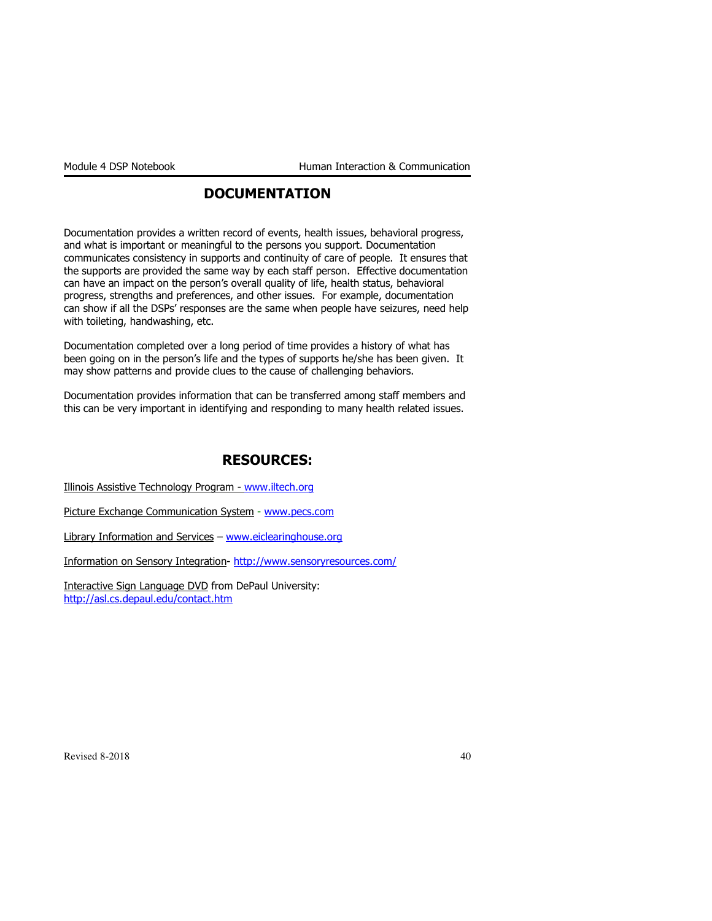### DOCUMENTATION

Documentation provides a written record of events, health issues, behavioral progress, and what is important or meaningful to the persons you support. Documentation communicates consistency in supports and continuity of care of people. It ensures that the supports are provided the same way by each staff person. Effective documentation can have an impact on the person's overall quality of life, health status, behavioral progress, strengths and preferences, and other issues. For example, documentation can show if all the DSPs' responses are the same when people have seizures, need help with toileting, handwashing, etc.

Documentation completed over a long period of time provides a history of what has been going on in the person's life and the types of supports he/she has been given. It may show patterns and provide clues to the cause of challenging behaviors.

Documentation provides information that can be transferred among staff members and this can be very important in identifying and responding to many health related issues.

### RESOURCES:

Illinois Assistive Technology Program - www.iltech.org

Picture Exchange Communication System - www.pecs.com

Library Information and Services - www.eiclearinghouse.org

Information on Sensory Integration- http://www.sensoryresources.com/

Interactive Sign Language DVD from DePaul University: http://asl.cs.depaul.edu/contact.htm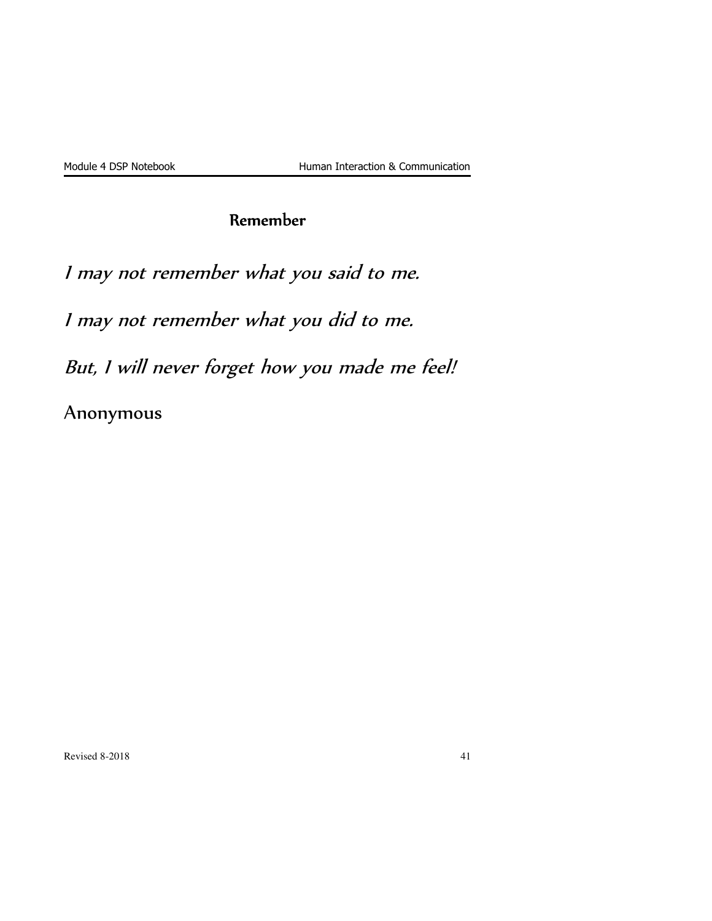## Remember

I may not remember what you said to me.

I may not remember what you did to me.

But, I will never forget how you made me feel!

Anonymous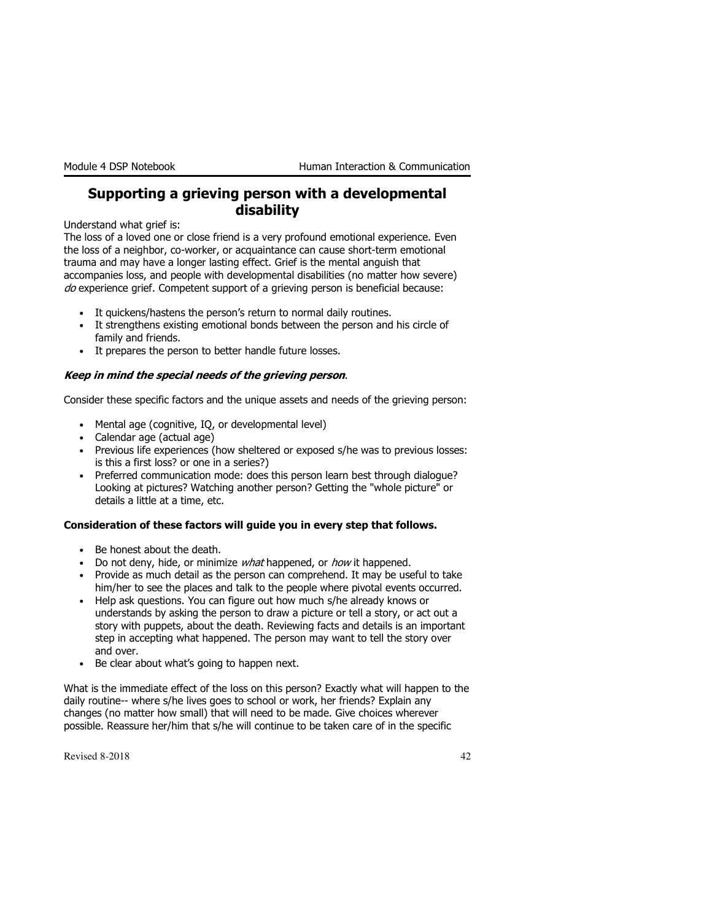### Supporting a grieving person with a developmental disability

Understand what grief is:

The loss of a loved one or close friend is a very profound emotional experience. Even the loss of a neighbor, co-worker, or acquaintance can cause short-term emotional trauma and may have a longer lasting effect. Grief is the mental anguish that accompanies loss, and people with developmental disabilities (no matter how severe) do experience grief. Competent support of a grieving person is beneficial because:

- It quickens/hastens the person's return to normal daily routines.
- It strengthens existing emotional bonds between the person and his circle of family and friends.
- It prepares the person to better handle future losses.

#### Keep in mind the special needs of the grieving person.

Consider these specific factors and the unique assets and needs of the grieving person:

- Mental age (cognitive, IQ, or developmental level)
- Calendar age (actual age)
- Previous life experiences (how sheltered or exposed s/he was to previous losses: is this a first loss? or one in a series?)
- Preferred communication mode: does this person learn best through dialogue? Looking at pictures? Watching another person? Getting the "whole picture" or details a little at a time, etc.

#### Consideration of these factors will guide you in every step that follows.

- Be honest about the death.
- Do not deny, hide, or minimize *what* happened, or *how* it happened.
- Provide as much detail as the person can comprehend. It may be useful to take him/her to see the places and talk to the people where pivotal events occurred.
- Help ask questions. You can figure out how much s/he already knows or understands by asking the person to draw a picture or tell a story, or act out a story with puppets, about the death. Reviewing facts and details is an important step in accepting what happened. The person may want to tell the story over and over.
- Be clear about what's going to happen next.

What is the immediate effect of the loss on this person? Exactly what will happen to the daily routine-- where s/he lives goes to school or work, her friends? Explain any changes (no matter how small) that will need to be made. Give choices wherever possible. Reassure her/him that s/he will continue to be taken care of in the specific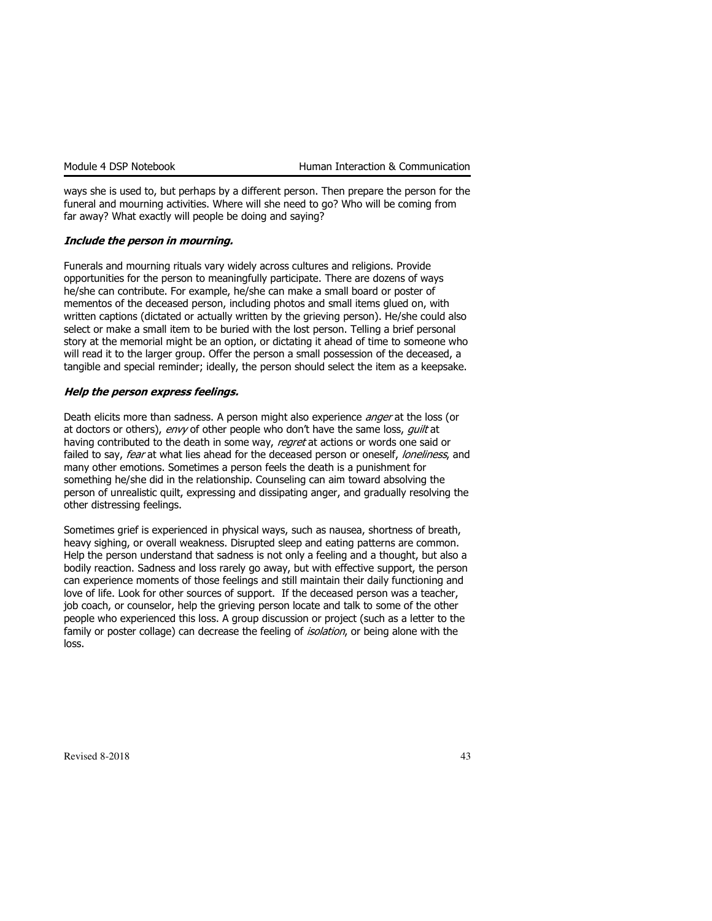ways she is used to, but perhaps by a different person. Then prepare the person for the funeral and mourning activities. Where will she need to go? Who will be coming from far away? What exactly will people be doing and saying?

#### Include the person in mourning.

Funerals and mourning rituals vary widely across cultures and religions. Provide opportunities for the person to meaningfully participate. There are dozens of ways he/she can contribute. For example, he/she can make a small board or poster of mementos of the deceased person, including photos and small items glued on, with written captions (dictated or actually written by the grieving person). He/she could also select or make a small item to be buried with the lost person. Telling a brief personal story at the memorial might be an option, or dictating it ahead of time to someone who will read it to the larger group. Offer the person a small possession of the deceased, a tangible and special reminder; ideally, the person should select the item as a keepsake.

#### Help the person express feelings.

Death elicits more than sadness. A person might also experience *anger* at the loss (or at doctors or others), envy of other people who don't have the same loss, quilt at having contributed to the death in some way, regret at actions or words one said or failed to say, fear at what lies ahead for the deceased person or oneself, loneliness, and many other emotions. Sometimes a person feels the death is a punishment for something he/she did in the relationship. Counseling can aim toward absolving the person of unrealistic quilt, expressing and dissipating anger, and gradually resolving the other distressing feelings.

Sometimes grief is experienced in physical ways, such as nausea, shortness of breath, heavy sighing, or overall weakness. Disrupted sleep and eating patterns are common. Help the person understand that sadness is not only a feeling and a thought, but also a bodily reaction. Sadness and loss rarely go away, but with effective support, the person can experience moments of those feelings and still maintain their daily functioning and love of life. Look for other sources of support. If the deceased person was a teacher, job coach, or counselor, help the grieving person locate and talk to some of the other people who experienced this loss. A group discussion or project (such as a letter to the family or poster collage) can decrease the feeling of *isolation*, or being alone with the loss.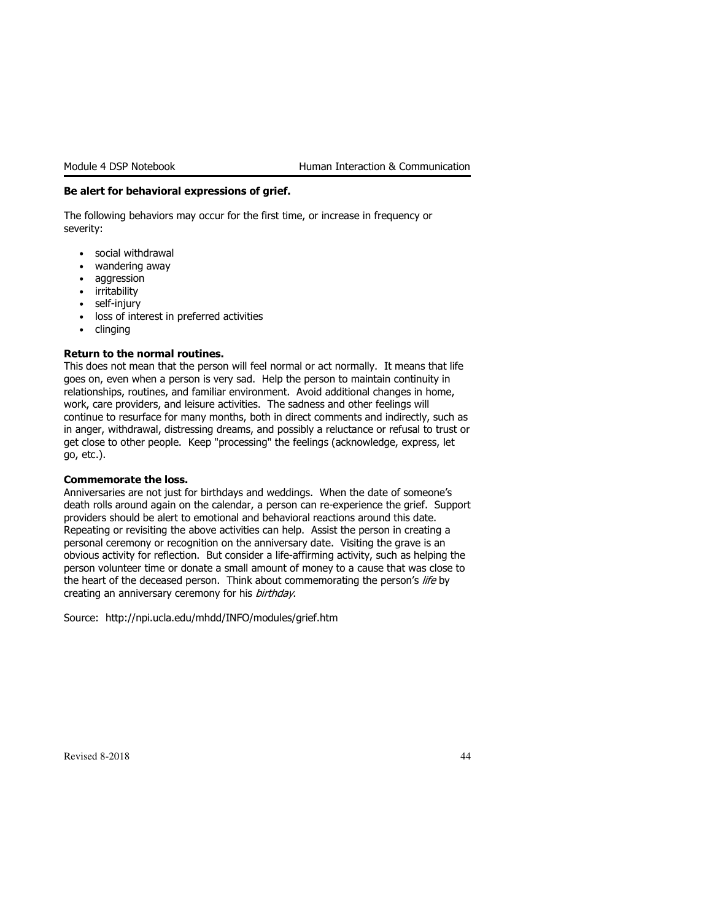#### Be alert for behavioral expressions of grief.

The following behaviors may occur for the first time, or increase in frequency or severity:

- social withdrawal
- wandering away
- aggression
- irritability
- self-injury
- loss of interest in preferred activities
- clinging

#### Return to the normal routines.

This does not mean that the person will feel normal or act normally. It means that life goes on, even when a person is very sad. Help the person to maintain continuity in relationships, routines, and familiar environment. Avoid additional changes in home, work, care providers, and leisure activities. The sadness and other feelings will continue to resurface for many months, both in direct comments and indirectly, such as in anger, withdrawal, distressing dreams, and possibly a reluctance or refusal to trust or get close to other people. Keep "processing" the feelings (acknowledge, express, let go, etc.).

#### Commemorate the loss.

Anniversaries are not just for birthdays and weddings. When the date of someone's death rolls around again on the calendar, a person can re-experience the grief. Support providers should be alert to emotional and behavioral reactions around this date. Repeating or revisiting the above activities can help. Assist the person in creating a personal ceremony or recognition on the anniversary date. Visiting the grave is an obvious activity for reflection. But consider a life-affirming activity, such as helping the person volunteer time or donate a small amount of money to a cause that was close to the heart of the deceased person. Think about commemorating the person's life by creating an anniversary ceremony for his birthday.

Source: http://npi.ucla.edu/mhdd/INFO/modules/grief.htm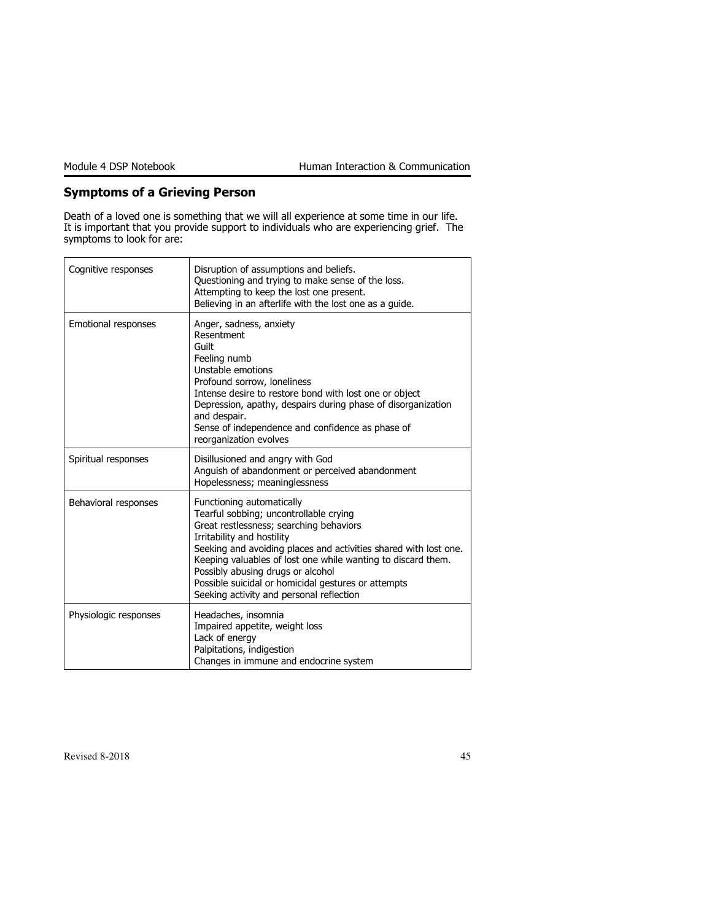### Symptoms of a Grieving Person

Death of a loved one is something that we will all experience at some time in our life. It is important that you provide support to individuals who are experiencing grief. The symptoms to look for are:

| Cognitive responses   | Disruption of assumptions and beliefs.<br>Questioning and trying to make sense of the loss.<br>Attempting to keep the lost one present.<br>Believing in an afterlife with the lost one as a quide.                                                                                                                                                                                                                       |
|-----------------------|--------------------------------------------------------------------------------------------------------------------------------------------------------------------------------------------------------------------------------------------------------------------------------------------------------------------------------------------------------------------------------------------------------------------------|
| Emotional responses   | Anger, sadness, anxiety<br>Resentment<br>Guilt<br>Feeling numb<br>Unstable emotions<br>Profound sorrow, loneliness<br>Intense desire to restore bond with lost one or object<br>Depression, apathy, despairs during phase of disorganization<br>and despair.<br>Sense of independence and confidence as phase of<br>reorganization evolves                                                                               |
| Spiritual responses   | Disillusioned and angry with God<br>Anguish of abandonment or perceived abandonment<br>Hopelessness; meaninglessness                                                                                                                                                                                                                                                                                                     |
| Behavioral responses  | Functioning automatically<br>Tearful sobbing; uncontrollable crying<br>Great restlessness; searching behaviors<br>Irritability and hostility<br>Seeking and avoiding places and activities shared with lost one.<br>Keeping valuables of lost one while wanting to discard them.<br>Possibly abusing drugs or alcohol<br>Possible suicidal or homicidal gestures or attempts<br>Seeking activity and personal reflection |
| Physiologic responses | Headaches, insomnia<br>Impaired appetite, weight loss<br>Lack of energy<br>Palpitations, indigestion<br>Changes in immune and endocrine system                                                                                                                                                                                                                                                                           |